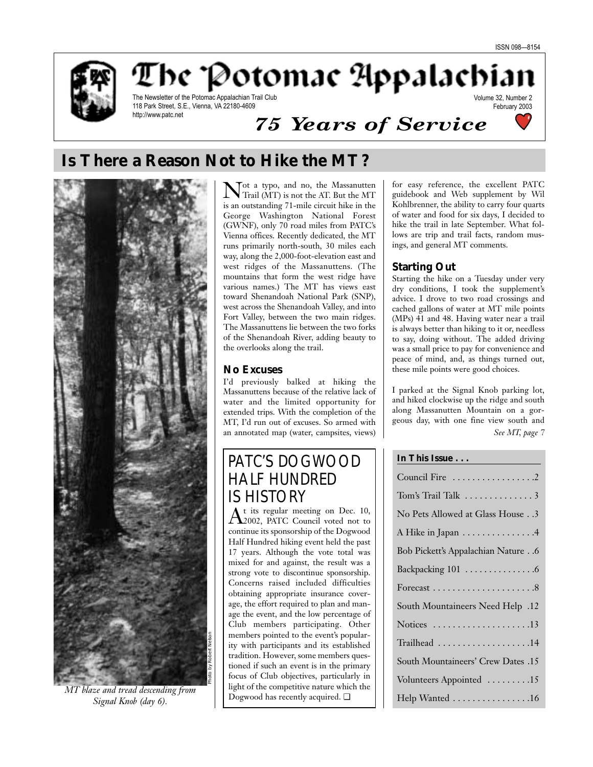

The Potomac Appalachian

The Newsletter of the Potomac Appalachian Trail Club 118 Park Street, S.E., Vienna, VA 22180-4609 http://www.patc.net

# *75 Years of Service*



Volume 32, Number 2

# **Is There a Reason Not to Hike the MT?**



*MT blaze and tread descending from* <br>
<br>
<br>
<br>
<br>
<br>
<br>
<br>
Dogwood has recently acquired. □ *Signal Knob (day 6).*

Not a typo, and no, the Massanutten Trail (MT) is not the AT. But the MT is an outstanding 71-mile circuit hike in the George Washington National Forest (GWNF), only 70 road miles from PATC's Vienna offices. Recently dedicated, the MT runs primarily north-south, 30 miles each way, along the 2,000-foot-elevation east and west ridges of the Massanuttens. (The mountains that form the west ridge have various names.) The MT has views east toward Shenandoah National Park (SNP), west across the Shenandoah Valley, and into Fort Valley, between the two main ridges. The Massanuttens lie between the two forks of the Shenandoah River, adding beauty to the overlooks along the trail.

## **No Excuses**

I'd previously balked at hiking the Massanuttens because of the relative lack of water and the limited opportunity for extended trips. With the completion of the MT, I'd run out of excuses. So armed with an annotated map (water, campsites, views)

# PATC'S DOGWOOD HALF HUNDRED **IS HISTORY**<br>A t its regular meeting on Dec. 10,

 $\rm A$ t its regular meeting on Dec. 10,<br> $\rm A$ 2002, PATC Council voted not to continue its sponsorship of the Dogwood Half Hundred hiking event held the past 17 years. Although the vote total was mixed for and against, the result was a strong vote to discontinue sponsorship. Concerns raised included difficulties obtaining appropriate insurance coverage, the effort required to plan and manage the event, and the low percentage of Club members participating. Other members pointed to the event's popularity with participants and its established tradition. However, some members questioned if such an event is in the primary focus of Club objectives, particularly in light of the competitive nature which the

for easy reference, the excellent PATC guidebook and Web supplement by Wil Kohlbrenner, the ability to carry four quarts of water and food for six days, I decided to hike the trail in late September. What follows are trip and trail facts, random musings, and general MT comments.

# **Starting Out**

Starting the hike on a Tuesday under very dry conditions, I took the supplement's advice. I drove to two road crossings and cached gallons of water at MT mile points (MPs) 41 and 48. Having water near a trail is always better than hiking to it or, needless to say, doing without. The added driving was a small price to pay for convenience and peace of mind, and, as things turned out, these mile points were good choices.

I parked at the Signal Knob parking lot, and hiked clockwise up the ridge and south along Massanutten Mountain on a gorgeous day, with one fine view south and *See MT, page 7*

## **In This Issue . . .**

| Council Fire 2                            |
|-------------------------------------------|
| Tom's Trail Talk 3                        |
| No Pets Allowed at Glass House3           |
| A Hike in Japan 4                         |
| <b>Bob Pickett's Appalachian Nature 6</b> |
|                                           |
|                                           |
| 12. South Mountaineers Need Help          |
| Notices 13                                |
| Trailhead 14                              |
| <b>South Mountaineers' Crew Dates .15</b> |
| Volunteers Appointed 15                   |
| Help Wanted 16                            |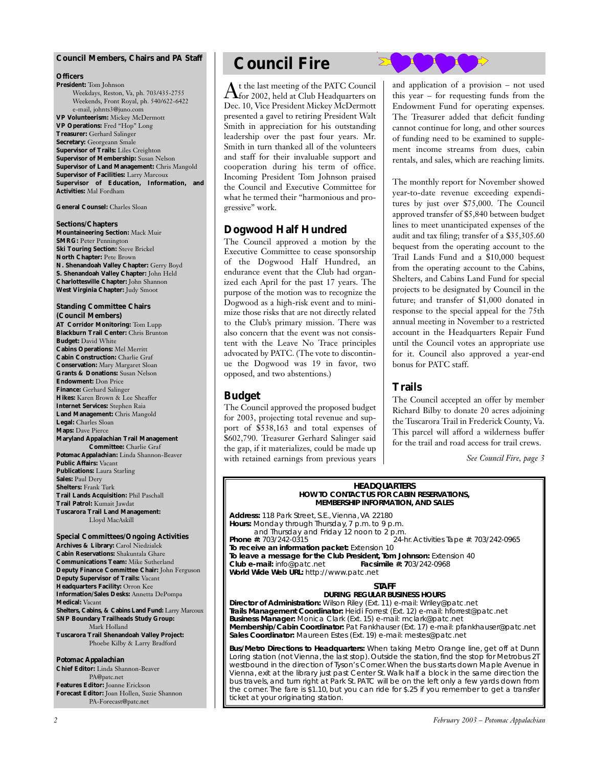#### **Council Members, Chairs and** *PA* **Staff**

#### **Officers**

**President:** Tom Johnson Weekdays, Reston, Va, ph. 703/435-2755 Weekends, Front Royal, ph. 540/622-6422 e-mail, johnts3@juno.com **VP Volunteerism:** Mickey McDermott **VP Operations:** Fred "Hop" Long **Treasurer:** Gerhard Salinger **Secretary:** Georgeann Smale **Supervisor of Trails:** Liles Creighton **Supervisor of Membership:** Susan Nelson **Supervisor of Land Management:** Chris Mangold **Supervisor of Facilities:** Larry Marcoux **Supervisor of Education, Information, and Activities:** Mal Fordham

**General Counsel:** Charles Sloan

#### **Sections/Chapters**

**Mountaineering Section:** Mack Muir **SMRG: Peter Pennington Ski Touring Section:** Steve Brickel **North Chapter:** Pete Brown **N. Shenandoah Valley Chapter:** Gerry Boyd **S. Shenandoah Valley Chapter:** John Held **Charlottesville Chapter:** John Shannon **West Virginia Chapter:** Judy Smoot

# **Standing Committee Chairs**

**(Council Members) AT Corridor Monitoring:** Tom Lupp **Blackburn Trail Center:** Chris Brunton **Budget:** David White **Cabins Operations:** Mel Merritt **Cabin Construction:** Charlie Graf **Conservation:** Mary Margaret Sloan **Grants & Donations:** Susan Nelson **Endowment:** Don Price **Finance:** Gerhard Salinger **Hikes:** Karen Brown & Lee Sheaffer **Internet Services:** Stephen Raia **Land Management:** Chris Mangold **Legal:** Charles Sloan **Maps:** Dave Pierce **Maryland Appalachian Trail Management Committee:** Charlie Graf *Potomac Appalachian:* Linda Shannon-Beaver **Public Affairs:** Vacant **Publications:** Laura Starling **Sales:** Paul Dery **Shelters:** Frank Turk **Trail Lands Acquisition:** Phil Paschall **Trail Patrol:** Kumait Jawdat **Tuscarora Trail Land Management:** Lloyd MacAskill

#### **Special Committees/Ongoing Activities Archives & Library:** Carol Niedzialek **Cabin Reservations:** Shakuntala Ghare **Communications Team:** Mike Sutherland **Deputy Finance Committee Chair:** John Ferguson **Deputy Supervisor of Trails:** Vacant **Headquarters Facility:** Orron Kee **Information/Sales Desks:** Annetta DePompa **Medical:** Vacant **Shelters, Cabins, & Cabins Land Fund:** Larry Marcoux **SNP Boundary Trailheads Study Group:** Mark Holland **Tuscarora Trail Shenandoah Valley Project:** Phoebe Kilby & Larry Bradford

*Potomac Appalachian*

**Chief Editor:** Linda Shannon-Beaver PA@patc.net **Features Editor:** Joanne Erickson **Forecast Editor:** Joan Hollen, Suzie Shannon PA-Forecast@patc.net

# **Council Fire**

At the last meeting of the PATC Council<br>Afor 2002, held at Club Headquarters on Dec. 10, Vice President Mickey McDermott presented a gavel to retiring President Walt Smith in appreciation for his outstanding leadership over the past four years. Mr. Smith in turn thanked all of the volunteers and staff for their invaluable support and cooperation during his term of office. Incoming President Tom Johnson praised the Council and Executive Committee for what he termed their "harmonious and progressive" work.

# **Dogwood Half Hundred**

The Council approved a motion by the Executive Committee to cease sponsorship of the Dogwood Half Hundred, an endurance event that the Club had organized each April for the past 17 years. The purpose of the motion was to recognize the Dogwood as a high-risk event and to minimize those risks that are not directly related to the Club's primary mission. There was also concern that the event was not consistent with the Leave No Trace principles advocated by PATC. (The vote to discontinue the Dogwood was 19 in favor, two opposed, and two abstentions.)

# **Budget**

The Council approved the proposed budget for 2003, projecting total revenue and support of \$538,163 and total expenses of \$602,790. Treasurer Gerhard Salinger said the gap, if it materializes, could be made up with retained earnings from previous years

and application of a provision – not used this year – for requesting funds from the Endowment Fund for operating expenses. The Treasurer added that deficit funding cannot continue for long, and other sources of funding need to be examined to supplement income streams from dues, cabin rentals, and sales, which are reaching limits.

The monthly report for November showed year-to-date revenue exceeding expenditures by just over \$75,000. The Council approved transfer of \$5,840 between budget lines to meet unanticipated expenses of the audit and tax filing; transfer of a \$35,305.60 bequest from the operating account to the Trail Lands Fund and a \$10,000 bequest from the operating account to the Cabins, Shelters, and Cabins Land Fund for special projects to be designated by Council in the future; and transfer of \$1,000 donated in response to the special appeal for the 75th annual meeting in November to a restricted account in the Headquarters Repair Fund until the Council votes an appropriate use for it. Council also approved a year-end bonus for PATC staff.

## **Trails**

The Council accepted an offer by member Richard Bilby to donate 20 acres adjoining the Tuscarora Trail in Frederick County, Va. This parcel will afford a wilderness buffer for the trail and road access for trail crews.

*See Council Fire, page 3*

#### **HEADQUARTERS HOW TO CONTACT US FOR CABIN RESERVATIONS, MEMBERSHIP INFORMATION, AND SALES**

**Address:** 118 Park Street, S.E., Vienna, VA 22180 **Hours:** Monday through Thursday, 7 p.m. to 9 p.m. and Thursday and Friday 12 noon to 2 p.m.<br>24-t 24-t 24-t **Phone #:** 703/242-0315 24-hr. Activities Tape #: 703/242-0965 **To receive an information packet:** Extension 10 **To leave a message for the Club President, Tom Johnson:** Extension 40<br>**Club e-mail:** info@patc.net **Facsimile #: 703/242-0968 Club e-mail:** info@patc.net **World Wide Web URL:** http://www.patc.net

#### **STAFF**

**DURING REGULAR BUSINESS HOURS Director of Administration:** Wilson Riley (Ext. 11) e-mail: Wriley@patc.net **Trails Management Coordinator:** Heidi Forrest (Ext. 12) e-mail: hforrest@patc.net **Business Manager:** Monica Clark (Ext. 15) e-mail: mclark@patc.net

**Membership/Cabin Coordinator:** Pat Fankhauser (Ext. 17) e-mail: pfankhauser@patc.net **Sales Coordinator:** Maureen Estes (Ext. 19) e-mail: mestes@patc.net

**Bus/Metro Directions to Headquarters:** When taking Metro Orange line, get off at Dunn Loring station (not Vienna, the last stop). Outside the station, find the stop for Metrobus 2T westbound in the direction of Tyson's Corner.When the bus starts down Maple Avenue in Vienna, exit at the library just past Center St. Walk half a block in the same direction the bus travels, and turn right at Park St. PATC will be on the left only a few yards down from the corner. The fare is \$1.10, but you can ride for \$.25 if you remember to get a transfer ticket at your originating station.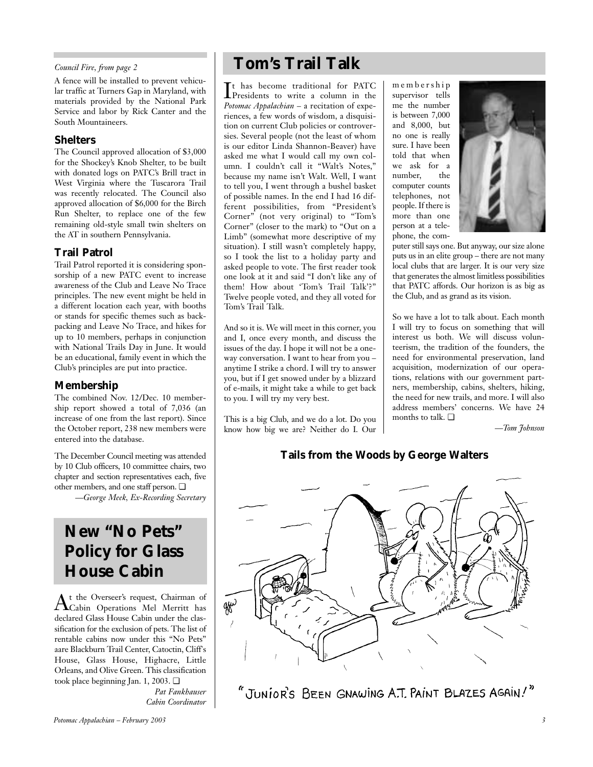### *Council Fire, from page 2*

A fence will be installed to prevent vehicular traffic at Turners Gap in Maryland, with materials provided by the National Park Service and labor by Rick Canter and the South Mountaineers.

## **Shelters**

The Council approved allocation of \$3,000 for the Shockey's Knob Shelter, to be built with donated logs on PATC's Brill tract in West Virginia where the Tuscarora Trail was recently relocated. The Council also approved allocation of \$6,000 for the Birch Run Shelter, to replace one of the few remaining old-style small twin shelters on the AT in southern Pennsylvania.

# **Trail Patrol**

Trail Patrol reported it is considering sponsorship of a new PATC event to increase awareness of the Club and Leave No Trace principles. The new event might be held in a different location each year, with booths or stands for specific themes such as backpacking and Leave No Trace, and hikes for up to 10 members, perhaps in conjunction with National Trails Day in June. It would be an educational, family event in which the Club's principles are put into practice.

# **Membership**

The combined Nov. 12/Dec. 10 membership report showed a total of 7,036 (an increase of one from the last report). Since the October report, 238 new members were entered into the database.

The December Council meeting was attended by 10 Club officers, 10 committee chairs, two chapter and section representatives each, five other members, and one staff person. ❏

*—George Meek, Ex-Recording Secretary*

# **New "No Pets" Policy for Glass House Cabin**

At the Overseer's request, Chairman of Cabin Operations Mel Merritt has declared Glass House Cabin under the classification for the exclusion of pets. The list of rentable cabins now under this "No Pets" aare Blackburn Trail Center, Catoctin, Cliff's House, Glass House, Highacre, Little Orleans, and Olive Green. This classification took place beginning Jan. 1, 2003. ❏

> *Pat Fankhauser Cabin Coordinator*

# **Tom's Trail Talk**

It has become traditional for PATC<br>Presidents to write a column in the Presidents to write a column in the *Potomac Appalachian* – a recitation of experiences, a few words of wisdom, a disquisition on current Club policies or controversies. Several people (not the least of whom is our editor Linda Shannon-Beaver) have asked me what I would call my own column. I couldn't call it "Walt's Notes," because my name isn't Walt. Well, I want to tell you, I went through a bushel basket of possible names. In the end I had 16 different possibilities, from "President's Corner" (not very original) to "Tom's Corner" (closer to the mark) to "Out on a Limb" (somewhat more descriptive of my situation). I still wasn't completely happy, so I took the list to a holiday party and asked people to vote. The first reader took one look at it and said "I don't like any of them! How about 'Tom's Trail Talk'?" Twelve people voted, and they all voted for Tom's Trail Talk.

And so it is. We will meet in this corner, you and I, once every month, and discuss the issues of the day. I hope it will not be a oneway conversation. I want to hear from you – anytime I strike a chord. I will try to answer you, but if I get snowed under by a blizzard of e-mails, it might take a while to get back to you. I will try my very best.

This is a big Club, and we do a lot. Do you know how big we are? Neither do I. Our

membership supervisor tells me the number is between 7,000 and 8,000, but no one is really sure. I have been told that when we ask for a number, the computer counts telephones, not people. If there is more than one person at a telephone, the com-



puter still says one. But anyway, our size alone puts us in an elite group – there are not many local clubs that are larger. It is our very size that generates the almost limitless possibilities that PATC affords. Our horizon is as big as the Club, and as grand as its vision.

So we have a lot to talk about. Each month I will try to focus on something that will interest us both. We will discuss volunteerism, the tradition of the founders, the need for environmental preservation, land acquisition, modernization of our operations, relations with our government partners, membership, cabins, shelters, hiking, the need for new trails, and more. I will also address members' concerns. We have 24 months to talk. ❏

*—Tom Johnson*

# **Tails from the Woods by George Walters**



"JUNIOR'S BEEN GNAWING A.T. PAINT BLAZES AGAIN!"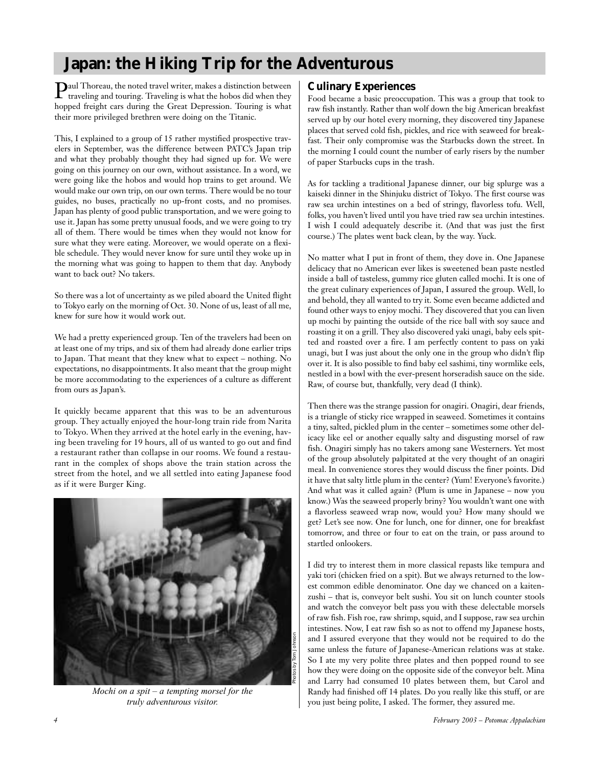# **Japan: the Hiking Trip for the Adventurous**

Paul Thoreau, the noted travel writer, makes a distinction between traveling and touring. Traveling is what the hobos did when they hopped freight cars during the Great Depression. Touring is what their more privileged brethren were doing on the Titanic.

This, I explained to a group of 15 rather mystified prospective travelers in September, was the difference between PATC's Japan trip and what they probably thought they had signed up for. We were going on this journey on our own, without assistance. In a word, we were going like the hobos and would hop trains to get around. We would make our own trip, on our own terms. There would be no tour guides, no buses, practically no up-front costs, and no promises. Japan has plenty of good public transportation, and we were going to use it. Japan has some pretty unusual foods, and we were going to try all of them. There would be times when they would not know for sure what they were eating. Moreover, we would operate on a flexible schedule. They would never know for sure until they woke up in the morning what was going to happen to them that day. Anybody want to back out? No takers.

So there was a lot of uncertainty as we piled aboard the United flight to Tokyo early on the morning of Oct. 30. None of us, least of all me, knew for sure how it would work out.

We had a pretty experienced group. Ten of the travelers had been on at least one of my trips, and six of them had already done earlier trips to Japan. That meant that they knew what to expect – nothing. No expectations, no disappointments. It also meant that the group might be more accommodating to the experiences of a culture as different from ours as Japan's.

It quickly became apparent that this was to be an adventurous group. They actually enjoyed the hour-long train ride from Narita to Tokyo. When they arrived at the hotel early in the evening, having been traveling for 19 hours, all of us wanted to go out and find a restaurant rather than collapse in our rooms. We found a restaurant in the complex of shops above the train station across the street from the hotel, and we all settled into eating Japanese food as if it were Burger King.



*Mochi on a spit – a tempting morsel for the truly adventurous visitor.*

# **Culinary Experiences**

Food became a basic preoccupation. This was a group that took to raw fish instantly. Rather than wolf down the big American breakfast served up by our hotel every morning, they discovered tiny Japanese places that served cold fish, pickles, and rice with seaweed for breakfast. Their only compromise was the Starbucks down the street. In the morning I could count the number of early risers by the number of paper Starbucks cups in the trash.

As for tackling a traditional Japanese dinner, our big splurge was a kaiseki dinner in the Shinjuku district of Tokyo. The first course was raw sea urchin intestines on a bed of stringy, flavorless tofu. Well, folks, you haven't lived until you have tried raw sea urchin intestines. I wish I could adequately describe it. (And that was just the first course.) The plates went back clean, by the way. Yuck.

No matter what I put in front of them, they dove in. One Japanese delicacy that no American ever likes is sweetened bean paste nestled inside a ball of tasteless, gummy rice gluten called mochi. It is one of the great culinary experiences of Japan, I assured the group. Well, lo and behold, they all wanted to try it. Some even became addicted and found other ways to enjoy mochi. They discovered that you can liven up mochi by painting the outside of the rice ball with soy sauce and roasting it on a grill. They also discovered yaki unagi, baby eels spitted and roasted over a fire. I am perfectly content to pass on yaki unagi, but I was just about the only one in the group who didn't flip over it. It is also possible to find baby eel sashimi, tiny wormlike eels, nestled in a bowl with the ever-present horseradish sauce on the side. Raw, of course but, thankfully, very dead (I think).

Then there was the strange passion for onagiri. Onagiri, dear friends, is a triangle of sticky rice wrapped in seaweed. Sometimes it contains a tiny, salted, pickled plum in the center – sometimes some other delicacy like eel or another equally salty and disgusting morsel of raw fish. Onagiri simply has no takers among sane Westerners. Yet most of the group absolutely palpitated at the very thought of an onagiri meal. In convenience stores they would discuss the finer points. Did it have that salty little plum in the center? (Yum! Everyone's favorite.) And what was it called again? (Plum is ume in Japanese – now you know.) Was the seaweed properly briny? You wouldn't want one with a flavorless seaweed wrap now, would you? How many should we get? Let's see now. One for lunch, one for dinner, one for breakfast tomorrow, and three or four to eat on the train, or pass around to startled onlookers.

I did try to interest them in more classical repasts like tempura and yaki tori (chicken fried on a spit). But we always returned to the lowest common edible denominator. One day we chanced on a kaitenzushi – that is, conveyor belt sushi. You sit on lunch counter stools and watch the conveyor belt pass you with these delectable morsels of raw fish. Fish roe, raw shrimp, squid, and I suppose, raw sea urchin intestines. Now, I eat raw fish so as not to offend my Japanese hosts, and I assured everyone that they would not be required to do the same unless the future of Japanese-American relations was at stake. So I ate my very polite three plates and then popped round to see how they were doing on the opposite side of the conveyor belt. Mina and Larry had consumed 10 plates between them, but Carol and Randy had finished off 14 plates. Do you really like this stuff, or are you just being polite, I asked. The former, they assured me.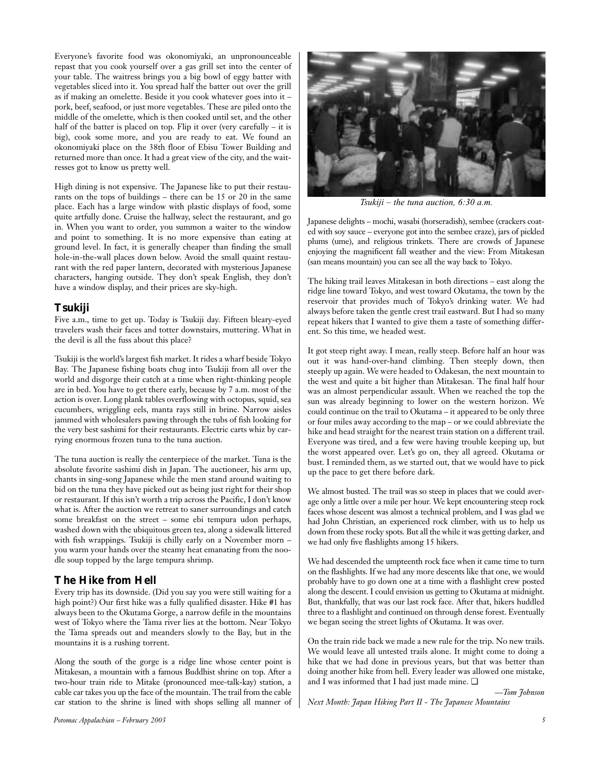Everyone's favorite food was okonomiyaki, an unpronounceable repast that you cook yourself over a gas grill set into the center of your table. The waitress brings you a big bowl of eggy batter with vegetables sliced into it. You spread half the batter out over the grill as if making an omelette. Beside it you cook whatever goes into it – pork, beef, seafood, or just more vegetables. These are piled onto the middle of the omelette, which is then cooked until set, and the other half of the batter is placed on top. Flip it over (very carefully – it is big), cook some more, and you are ready to eat. We found an okonomiyaki place on the 38th floor of Ebisu Tower Building and returned more than once. It had a great view of the city, and the waitresses got to know us pretty well.

High dining is not expensive. The Japanese like to put their restaurants on the tops of buildings – there can be 15 or 20 in the same place. Each has a large window with plastic displays of food, some quite artfully done. Cruise the hallway, select the restaurant, and go in. When you want to order, you summon a waiter to the window and point to something. It is no more expensive than eating at ground level. In fact, it is generally cheaper than finding the small hole-in-the-wall places down below. Avoid the small quaint restaurant with the red paper lantern, decorated with mysterious Japanese characters, hanging outside. They don't speak English, they don't have a window display, and their prices are sky-high.

## **Tsukiji**

Five a.m., time to get up. Today is Tsukiji day. Fifteen bleary-eyed travelers wash their faces and totter downstairs, muttering. What in the devil is all the fuss about this place?

Tsukiji is the world's largest fish market. It rides a wharf beside Tokyo Bay. The Japanese fishing boats chug into Tsukiji from all over the world and disgorge their catch at a time when right-thinking people are in bed. You have to get there early, because by 7 a.m. most of the action is over. Long plank tables overflowing with octopus, squid, sea cucumbers, wriggling eels, manta rays still in brine. Narrow aisles jammed with wholesalers pawing through the tubs of fish looking for the very best sashimi for their restaurants. Electric carts whiz by carrying enormous frozen tuna to the tuna auction.

The tuna auction is really the centerpiece of the market. Tuna is the absolute favorite sashimi dish in Japan. The auctioneer, his arm up, chants in sing-song Japanese while the men stand around waiting to bid on the tuna they have picked out as being just right for their shop or restaurant. If this isn't worth a trip across the Pacific, I don't know what is. After the auction we retreat to saner surroundings and catch some breakfast on the street – some ebi tempura udon perhaps, washed down with the ubiquitous green tea, along a sidewalk littered with fish wrappings. Tsukiji is chilly early on a November morn – you warm your hands over the steamy heat emanating from the noodle soup topped by the large tempura shrimp.

# **The Hike from Hell**

Every trip has its downside. (Did you say you were still waiting for a high point?) Our first hike was a fully qualified disaster. Hike #1 has always been to the Okutama Gorge, a narrow defile in the mountains west of Tokyo where the Tama river lies at the bottom. Near Tokyo the Tama spreads out and meanders slowly to the Bay, but in the mountains it is a rushing torrent.

Along the south of the gorge is a ridge line whose center point is Mitakesan, a mountain with a famous Buddhist shrine on top. After a two-hour train ride to Mitake (pronounced mee-talk-kay) station, a cable car takes you up the face of the mountain. The trail from the cable car station to the shrine is lined with shops selling all manner of



*Tsukiji – the tuna auction, 6:30 a.m.*

Japanese delights – mochi, wasabi (horseradish), sembee (crackers coated with soy sauce – everyone got into the sembee craze), jars of pickled plums (ume), and religious trinkets. There are crowds of Japanese enjoying the magnificent fall weather and the view: From Mitakesan (san means mountain) you can see all the way back to Tokyo.

The hiking trail leaves Mitakesan in both directions – east along the ridge line toward Tokyo, and west toward Okutama, the town by the reservoir that provides much of Tokyo's drinking water. We had always before taken the gentle crest trail eastward. But I had so many repeat hikers that I wanted to give them a taste of something different. So this time, we headed west.

It got steep right away. I mean, really steep. Before half an hour was out it was hand-over-hand climbing. Then steeply down, then steeply up again. We were headed to Odakesan, the next mountain to the west and quite a bit higher than Mitakesan. The final half hour was an almost perpendicular assault. When we reached the top the sun was already beginning to lower on the western horizon. We could continue on the trail to Okutama – it appeared to be only three or four miles away according to the map – or we could abbreviate the hike and head straight for the nearest train station on a different trail. Everyone was tired, and a few were having trouble keeping up, but the worst appeared over. Let's go on, they all agreed. Okutama or bust. I reminded them, as we started out, that we would have to pick up the pace to get there before dark.

We almost busted. The trail was so steep in places that we could average only a little over a mile per hour. We kept encountering steep rock faces whose descent was almost a technical problem, and I was glad we had John Christian, an experienced rock climber, with us to help us down from these rocky spots. But all the while it was getting darker, and we had only five flashlights among 15 hikers.

We had descended the umpteenth rock face when it came time to turn on the flashlights. If we had any more descents like that one, we would probably have to go down one at a time with a flashlight crew posted along the descent. I could envision us getting to Okutama at midnight. But, thankfully, that was our last rock face. After that, hikers huddled three to a flashlight and continued on through dense forest. Eventually we began seeing the street lights of Okutama. It was over.

On the train ride back we made a new rule for the trip. No new trails. We would leave all untested trails alone. It might come to doing a hike that we had done in previous years, but that was better than doing another hike from hell. Every leader was allowed one mistake, and I was informed that I had just made mine. ❏

*—Tom Johnson*

*Next Month: Japan Hiking Part II - The Japanese Mountains*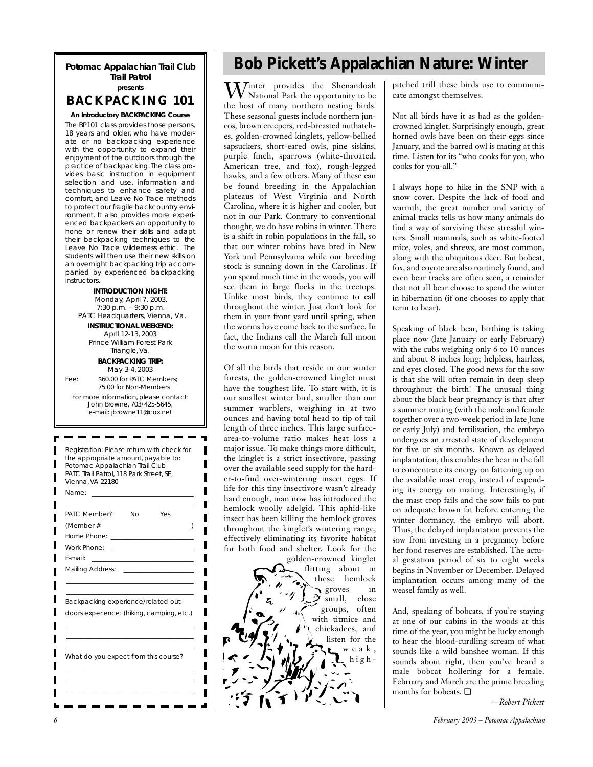### **Potomac Appalachian Trail Club Trail Patrol presents**

# **BACKPACKING 101**

**An Introductory BACKPACKING Course** The BP101 class provides those persons, 18 years and older, who have moderate or no backpacking experience with the opportunity to expand their enjoyment of the outdoors through the practice of backpacking.The class provides basic instruction in equipment selection and use, information and techniques to enhance safety and comfort, and Leave No Trace methods to protect our fragile backcountry environment. It also provides more experienced backpackers an opportunity to hone or renew their skills and adapt their backpacking techniques to the Leave No Trace wilderness ethic. The students will then use their new skills on an overnight backpacking trip accompanied by experienced backpacking instructors.

**INTRODUCTION NIGHT:** Monday, April 7, 2003, 7:30 p.m. – 9:30 p.m. PATC Headquarters, Vienna, Va. **INSTRUCTIONAL WEEKEND:**  April 12-13, 2003 Prince William Forest Park Triangle, Va. **BACKPACKING TRIP:**  May 3-4, 2003 Fee:  $$60.00$  for PATC Members; 75.00 for Non-Members For more information, please contact: John Browne, 703/425-5645, e-mail: jbrowne11@cox.net Registration: Please return with check for the appropriate amount, payable to: Potomac Appalachian Trail Club PATC Trail Patrol, 118 Park Street, SE, Vienna, VA 22180 Name: \_\_\_\_\_\_\_\_\_\_\_\_\_\_\_\_\_\_\_\_\_\_\_\_\_\_\_\_\_\_\_\_

| PATC Member?                              | Nο                                           | Yes                                      |  |
|-------------------------------------------|----------------------------------------------|------------------------------------------|--|
| (Member#                                  |                                              |                                          |  |
| Home Phone: ____________________          |                                              |                                          |  |
| Work Phone:                               |                                              | <u> 1980 - Jan Berlin, mars et al. (</u> |  |
| F-mail:                                   | the control of the control of the control of |                                          |  |
| <b>Mailing Address:</b>                   |                                              |                                          |  |
| Backpacking experience/related out-       |                                              |                                          |  |
| doors experience: (hiking, camping, etc.) |                                              |                                          |  |
|                                           |                                              |                                          |  |
| What do you expect from this course?      |                                              |                                          |  |
|                                           |                                              |                                          |  |

П

ı

П

# **Bob Pickett's Appalachian Nature: Winter**

Winter provides the Shenandoah National Park the opportunity to be the host of many northern nesting birds. These seasonal guests include northern juncos, brown creepers, red-breasted nuthatches, golden-crowned kinglets, yellow-bellied sapsuckers, short-eared owls, pine siskins, purple finch, sparrows (white-throated, American tree, and fox), rough-legged hawks, and a few others. Many of these can be found breeding in the Appalachian plateaus of West Virginia and North Carolina, where it is higher and cooler, but not in our Park. Contrary to conventional thought, we do have robins in winter. There is a shift in robin populations in the fall, so that our winter robins have bred in New York and Pennsylvania while our breeding stock is sunning down in the Carolinas. If you spend much time in the woods, you will see them in large flocks in the treetops. Unlike most birds, they continue to call throughout the winter. Just don't look for them in your front yard until spring, when the worms have come back to the surface. In fact, the Indians call the March full moon the worm moon for this reason.

Of all the birds that reside in our winter forests, the golden-crowned kinglet must have the toughest life. To start with, it is our smallest winter bird, smaller than our summer warblers, weighing in at two ounces and having total head to tip of tail length of three inches. This large surfacearea-to-volume ratio makes heat loss a major issue. To make things more difficult, the kinglet is a strict insectivore, passing over the available seed supply for the harder-to-find over-wintering insect eggs. If life for this tiny insectivore wasn't already hard enough, man now has introduced the hemlock woolly adelgid. This aphid-like insect has been killing the hemlock groves throughout the kinglet's wintering range, effectively eliminating its favorite habitat for both food and shelter. Look for the

golden-crowned kinglet flitting about in these hemlock groves in small, close groups, often with titmice and chickadees, and listen for the weak,  $\sum h$ ighpitched trill these birds use to communicate amongst themselves.

Not all birds have it as bad as the goldencrowned kinglet. Surprisingly enough, great horned owls have been on their eggs since January, and the barred owl is mating at this time. Listen for its "who cooks for you, who cooks for you-all."

I always hope to hike in the SNP with a snow cover. Despite the lack of food and warmth, the great number and variety of animal tracks tells us how many animals do find a way of surviving these stressful winters. Small mammals, such as white-footed mice, voles, and shrews, are most common, along with the ubiquitous deer. But bobcat, fox, and coyote are also routinely found, and even bear tracks are often seen, a reminder that not all bear choose to spend the winter in hibernation (if one chooses to apply that term to bear).

Speaking of black bear, birthing is taking place now (late January or early February) with the cubs weighing only 6 to 10 ounces and about 8 inches long; helpless, hairless, and eyes closed. The good news for the sow is that she will often remain in deep sleep throughout the birth! The unusual thing about the black bear pregnancy is that after a summer mating (with the male and female together over a two-week period in late June or early July) and fertilization, the embryo undergoes an arrested state of development for five or six months. Known as delayed implantation, this enables the bear in the fall to concentrate its energy on fattening up on the available mast crop, instead of expending its energy on mating. Interestingly, if the mast crop fails and the sow fails to put on adequate brown fat before entering the winter dormancy, the embryo will abort. Thus, the delayed implantation prevents the sow from investing in a pregnancy before her food reserves are established. The actual gestation period of six to eight weeks begins in November or December. Delayed implantation occurs among many of the weasel family as well.

And, speaking of bobcats, if you're staying at one of our cabins in the woods at this time of the year, you might be lucky enough to hear the blood-curdling scream of what sounds like a wild banshee woman. If this sounds about right, then you've heard a male bobcat hollering for a female. February and March are the prime breeding months for bobcats. ❏

*—Robert Pickett*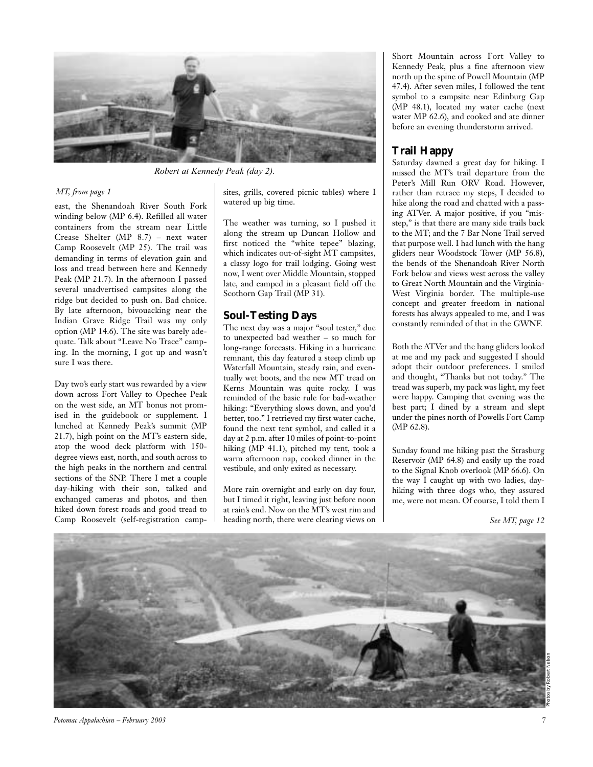

*Robert at Kennedy Peak (day 2).*

### *MT, from page 1*

east, the Shenandoah River South Fork winding below (MP 6.4). Refilled all water containers from the stream near Little Crease Shelter (MP 8.7) – next water Camp Roosevelt (MP 25). The trail was demanding in terms of elevation gain and loss and tread between here and Kennedy Peak (MP 21.7). In the afternoon I passed several unadvertised campsites along the ridge but decided to push on. Bad choice. By late afternoon, bivouacking near the Indian Grave Ridge Trail was my only option (MP 14.6). The site was barely adequate. Talk about "Leave No Trace" camping. In the morning, I got up and wasn't sure I was there.

Day two's early start was rewarded by a view down across Fort Valley to Opechee Peak on the west side, an MT bonus not promised in the guidebook or supplement. I lunched at Kennedy Peak's summit (MP 21.7), high point on the MT's eastern side, atop the wood deck platform with 150 degree views east, north, and south across to the high peaks in the northern and central sections of the SNP. There I met a couple day-hiking with their son, talked and exchanged cameras and photos, and then hiked down forest roads and good tread to Camp Roosevelt (self-registration campsites, grills, covered picnic tables) where I watered up big time.

The weather was turning, so I pushed it along the stream up Duncan Hollow and first noticed the "white tepee" blazing, which indicates out-of-sight MT campsites, a classy logo for trail lodging. Going west now, I went over Middle Mountain, stopped late, and camped in a pleasant field off the Scothorn Gap Trail (MP 31).

# **Soul-Testing Days**

The next day was a major "soul tester," due to unexpected bad weather – so much for long-range forecasts. Hiking in a hurricane remnant, this day featured a steep climb up Waterfall Mountain, steady rain, and eventually wet boots, and the new MT tread on Kerns Mountain was quite rocky. I was reminded of the basic rule for bad-weather hiking: "Everything slows down, and you'd better, too." I retrieved my first water cache, found the next tent symbol, and called it a day at 2 p.m. after 10 miles of point-to-point hiking (MP 41.1), pitched my tent, took a warm afternoon nap, cooked dinner in the vestibule, and only exited as necessary.

More rain overnight and early on day four, but I timed it right, leaving just before noon at rain's end. Now on the MT's west rim and heading north, there were clearing views on

Short Mountain across Fort Valley to Kennedy Peak, plus a fine afternoon view north up the spine of Powell Mountain (MP 47.4). After seven miles, I followed the tent symbol to a campsite near Edinburg Gap (MP 48.1), located my water cache (next water MP 62.6), and cooked and ate dinner before an evening thunderstorm arrived.

# **Trail Happy**

Saturday dawned a great day for hiking. I missed the MT's trail departure from the Peter's Mill Run ORV Road. However, rather than retrace my steps, I decided to hike along the road and chatted with a passing ATVer. A major positive, if you "misstep," is that there are many side trails back to the MT; and the 7 Bar None Trail served that purpose well. I had lunch with the hang gliders near Woodstock Tower (MP 56.8), the bends of the Shenandoah River North Fork below and views west across the valley to Great North Mountain and the Virginia-West Virginia border. The multiple-use concept and greater freedom in national forests has always appealed to me, and I was constantly reminded of that in the GWNF.

Both the ATVer and the hang gliders looked at me and my pack and suggested I should adopt their outdoor preferences. I smiled and thought, "Thanks but not today." The tread was superb, my pack was light, my feet were happy. Camping that evening was the best part; I dined by a stream and slept under the pines north of Powells Fort Camp (MP 62.8).

Sunday found me hiking past the Strasburg Reservoir (MP 64.8) and easily up the road to the Signal Knob overlook (MP 66.6). On the way I caught up with two ladies, dayhiking with three dogs who, they assured me, were not mean. Of course, I told them I

*See MT, page 12*



*Potomac Appalachian – February 2003 7*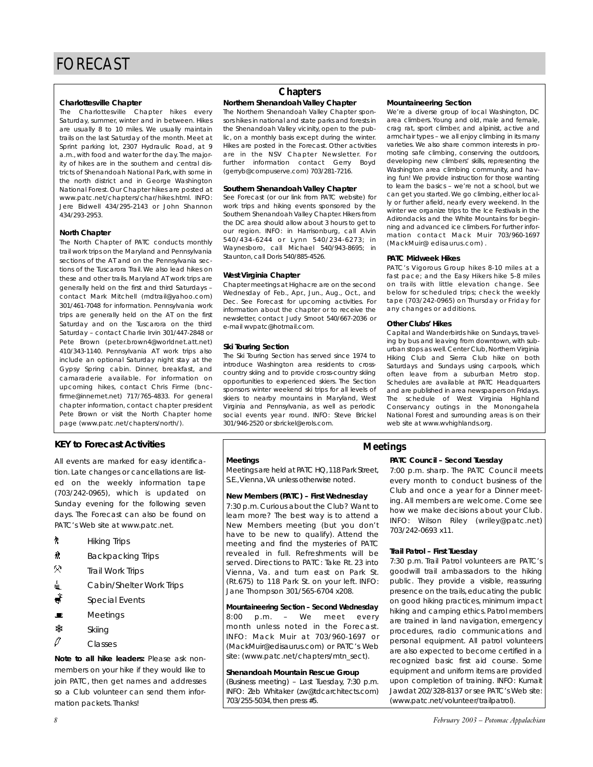#### **Charlottesville Chapter**

The Charlottesville Chapter hikes every Saturday, summer, winter and in between. Hikes are usually 8 to 10 miles. We usually maintain trails on the last Saturday of the month. Meet at Sprint parking lot, 2307 Hydraulic Road, at 9 a.m., with food and water for the day. The majority of hikes are in the southern and central districts of Shenandoah National Park, with some in the north district and in George Washington National Forest. Our Chapter hikes are posted at www.patc.net/chapters/char/hikes.html. INFO: Jere Bidwell 434/295-2143 or John Shannon 434/293-2953.

#### **North Chapter**

The North Chapter of PATC conducts monthly trail work trips on the Maryland and Pennsylvania sections of the AT and on the Pennsylvania sections of the Tuscarora Trail. We also lead hikes on these and other trails. Maryland AT work trips are generally held on the first and third Saturdays – contact Mark Mitchell (mdtrail@yahoo.com) 301/461-7048 for information. Pennsylvania work trips are generally held on the AT on the first Saturday and on the Tuscarora on the third Saturday – contact Charlie Irvin 301/447-2848 or Pete Brown (peter.brown4@worldnet.att.net) 410/343-1140. Pennsylvania AT work trips also include an optional Saturday night stay at the Gypsy Spring cabin. Dinner, breakfast, and camaraderie available. For information on upcoming hikes, contact Chris Firme (bncfirme@innernet.net) 717/765-4833. For general chapter information, contact chapter president Pete Brown or visit the North Chapter home page (www.patc.net/chapters/north/).

## **KEY to Forecast Activities**

All events are marked for easy identification. Late changes or cancellations are listed on the weekly information tape (703/242-0965), which is updated on Sunday evening for the following seven days. The Forecast can also be found on PATC's Web site at www.patc.net.

- $\uparrow$  Hiking Trips
- $\frac{1}{10}$  Backpacking Trips
- $\ddot{\circ}$ Trail Work Trips
- △ Cabin/Shelter Work Trips
- $\frac{\ddot{x}}{s}$  Special Events
- $\blacksquare$  Meetings
- **※ Skiing**
- $\mathscr{O}$  Classes

*Note to all hike leaders:* Please ask nonmembers on your hike if they would like to join PATC, then get names and addresses so a Club volunteer can send them information packets. Thanks!

# **Chapters**

### **Northern Shenandoah Valley Chapter**

The Northern Shenandoah Valley Chapter sponsors hikes in national and state parks and forests in the Shenandoah Valley vicinity, open to the public, on a monthly basis except during the winter. Hikes are posted in the Forecast. Other activities are in the NSV Chapter Newsletter. For further information contact Gerry Boyd (gerryb@compuserve.com) 703/281-7216.

#### **Southern Shenandoah Valley Chapter**

See Forecast (or our link from PATC website) for work trips and hiking events sponsored by the Southern Shenandoah Valley Chapter. Hikers from the DC area should allow about 3 hours to get to our region. INFO: in Harrisonburg, call Alvin 540/434-6244 or Lynn 540/234-6273; in Waynesboro, call Michael 540/943-8695; in Staunton, call Doris 540/885-4526.

#### **West Virginia Chapter**

Chapter meetings at Highacre are on the second Wednesday of Feb., Apr., Jun., Aug., Oct., and Dec. See Forecast for upcoming activities. For information about the chapter or to receive the newsletter, contact Judy Smoot 540/667-2036 or e-mail wvpatc@hotmail.com.

#### **Ski Touring Section**

The Ski Touring Section has served since 1974 to introduce Washington area residents to crosscountry skiing and to provide cross-country skiing opportunities to experienced skiers. The Section sponsors winter weekend ski trips for all levels of skiers to nearby mountains in Maryland, West Virginia and Pennsylvania, as well as periodic social events year round. INFO: Steve Brickel 301/946-2520 or sbrickel@erols.com.

#### **Mountaineering Section**

We're a diverse group of local Washington, DC area climbers. Young and old, male and female, crag rat, sport climber, and alpinist, active and armchair types – we all enjoy climbing in its many varieties. We also share common interests in promoting safe climbing, conserving the outdoors, developing new climbers' skills, representing the Washington area climbing community, and having fun! We provide instruction for those wanting to learn the basics – we're not a school, but we can get you started. We go climbing, either locally or further afield, nearly every weekend. In the winter we organize trips to the Ice Festivals in the Adirondacks and the White Mountains for beginning and advanced ice climbers. For further information contact Mack Muir 703/960-1697 (MackMuir@ edisaurus.com) .

#### **PATC Midweek Hikes**

PATC's Vigorous Group hikes 8-10 miles at a fast pace; and the Easy Hikers hike 5-8 miles on trails with little elevation change. See below for scheduled trips; check the weekly tape (703/242-0965) on Thursday or Friday for any changes or additions.

#### **Other Clubs' Hikes**

Capital and Wanderbirds hike on Sundays, traveling by bus and leaving from downtown, with suburban stops as well. Center Club, Northern Virginia Hiking Club and Sierra Club hike on both Saturdays and Sundays using carpools, which often leave from a suburban Metro stop. Schedules are available at PATC Headquarters and are published in area newspapers on Fridays. The schedule of West Virginia Highland Conservancy outings in the Monongahela National Forest and surrounding areas is on their web site at www.wvhighlands.org.

### **Meetings**

Meetings are held at PATC HQ,118 Park Street, S.E.,Vienna,VA unless otherwise noted.

#### **New Members (PATC) – First Wednesday**

7:30 p.m. Curious about the Club? Want to learn more? The best way is to attend a New Members meeting (but you don't have to be new to qualify). Attend the meeting and find the mysteries of PATC revealed in full. Refreshments will be served. Directions to PATC: Take Rt. 23 into Vienna, Va. and turn east on Park St. (Rt.675) to 118 Park St. on your left. INFO: Jane Thompson 301/565-6704 x208.

**Mountaineering Section – Second Wednesday** 8:00 p.m. – We meet every month unless noted in the Forecast. INFO: Mack Muir at 703/960-1697 or (MackMuir@edisaurus.com) or PATC's Web site: (www.patc.net/chapters/mtn\_sect).

#### **Shenandoah Mountain Rescue Group**

(Business meeting) – Last Tuesday, 7:30 p.m. INFO: Zeb Whitaker (zw@tdcarchitects.com) 703/255-5034, then press #5.

**PATC Council – Second Tuesday Meetings**

> 7:00 p.m. sharp. The PATC Council meets every month to conduct business of the Club and once a year for a Dinner meeting. All members are welcome. Come see how we make decisions about your Club. INFO: Wilson Riley (wriley@patc.net) 703/242-0693 x11.

#### **Trail Patrol – First Tuesday**

7:30 p.m. Trail Patrol volunteers are PATC's goodwill trail ambassadors to the hiking public. They provide a visible, reassuring presence on the trails, educating the public on good hiking practices, minimum impact hiking and camping ethics. Patrol members are trained in land navigation, emergency procedures, radio communications and personal equipment. All patrol volunteers are also expected to become certified in a recognized basic first aid course. Some equipment and uniform items are provided upon completion of training. INFO: Kumait Jawdat 202/328-8137 or see PATC's Web site: (www.patc.net/volunteer/trailpatrol).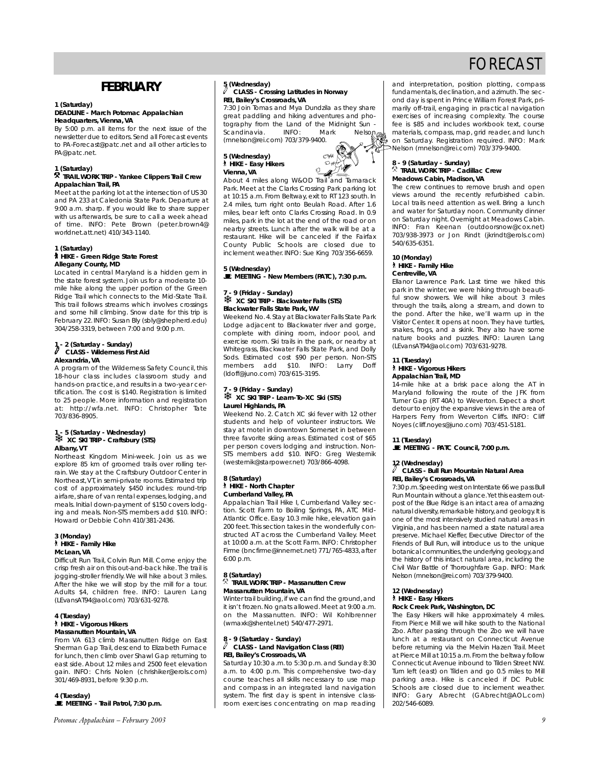# **FEBRUARY**

### **1 (Saturday)**

#### **DEADLINE - March** *Potomac Appalachian* **Headquarters, Vienna, VA**

By 5:00 p.m. all items for the next issue of the newsletter due to editors. Send all Forecast events to PA-Forecast@patc.net and all other articles to PA@patc.net.

#### **1 (Saturday)**

#### . **TRAIL WORK TRIP - Yankee Clippers Trail Crew Appalachian Trail, PA**

Meet at the parking lot at the intersection of US 30 and PA 233 at Caledonia State Park. Departure at 9:00 a.m. sharp. If you would like to share supper with us afterwards, be sure to call a week ahead of time. INFO: Pete Brown (peter.brown4@ worldnet.att.net) 410/343-1140.

#### **1 (Saturday)** ` **HIKE - Green Ridge State Forest Allegany County, MD**

Located in central Maryland is a hidden gem in the state forest system. Join us for a moderate 10 mile hike along the upper portion of the Green Ridge Trail which connects to the Mid-State Trail. This trail follows streams which involves crossings and some hill climbing. Snow date for this trip is February 22. INFO: Susan Bly (sbly@shepherd.edu) 304/258-3319, between 7:00 and 9:00 p.m.

## **1 - 2 (Saturday - Sunday)** a **CLASS - Wilderness First Aid Alexandria, VA**

A program of the Wilderness Safety Council, this 18-hour class includes classroom study and hands-on practice, and results in a two-year certification. The cost is \$140. Registration is limited to 25 people. More information and registration at: http://wfa.net. INFO: Christopher Tate 703/836-8905.

#### **1 - 5 (Saturday - Wednesday)** ❄ **XC SKI TRIP - Craftsbury (STS) Albany, VT**

Northeast Kingdom Mini-week. Join us as we explore 85 km of groomed trails over rolling terrain. We stay at the Craftsbury Outdoor Center in Northeast,VT, in semi-private rooms. Estimated trip cost of approximately \$450 includes: round-trip airfare, share of van rental expenses, lodging, and meals. Initial down-payment of \$150 covers lodging and meals. Non-STS members add \$10. INFO: Howard or Debbie Cohn 410/381-2436.

#### **3 (Monday)** ` **HIKE - Family Hike McLean, VA**

Difficult Run Trail, Colvin Run Mill. Come enjoy the crisp fresh air on this out-and-back hike. The trail is jogging-stroller friendly. We will hike about 3 miles. After the hike we will stop by the mill for a tour. Adults \$4, children free. INFO: Lauren Lang (LEvansAT94@aol.com) 703/631-9278.

#### **4 (Tuesday)**  ` **HIKE - Vigorous Hikers Massanutten Mountain, VA**

From VA 613 climb Massanutten Ridge on East Sherman Gap Trail, descend to Elizabeth Furnace for lunch, then climb over Shawl Gap returning to east side. About 12 miles and 2500 feet elevation gain. INFO: Chris Nolen (chrishiker@erols.com) 301/469-8931, before 9:30 p.m.

**4 (Tuesday)** \**MEETING - Trail Patrol, 7:30 p.m.**

*Potomac Appalachian – February 2003 9*

#### **5 (Wednesday)** a **CLASS - Crossing Latitudes in Norway REI, Bailey's Crossroads, VA**

7:30 Join Tomas and Mya Dundzila as they share great paddling and hiking adventures and photography from the Land of the Midnight Sun<br>Scandinavia - INFO: Mark - Nelson Scandinavia (mnelson@rei.com) 703/379-9400.

**5 (Wednesday)** ` **HIKE - Easy Hikers Vienna, VA**



About 4 miles along W&OD Trail and Tamarack Park. Meet at the Clarks Crossing Park parking lot at 10:15 a.m. From Beltway, exit to RT 123 south. In 2.4 miles, turn right onto Beulah Road. After 1.6 miles, bear left onto Clarks Crossing Road. In 0.9 miles, park in the lot at the end of the road or on nearby streets. Lunch after the walk will be at a restaurant. Hike will be canceled if the Fairfax County Public Schools are closed due to inclement weather. INFO: Sue King 703/356-6659.

# **5 (Wednesday)** \**MEETING - New Members (PATC), 7:30 p.m.**

#### **7 - 9 (Friday - Sunday)** ❄ **XC SKI TRIP - Blackwater Falls (STS) Blackwater Falls State Park, WV**

Weekend No. 4. Stay at Blackwater Falls State Park Lodge adjacent to Blackwater river and gorge, complete with dining room, indoor pool, and exercise room. Ski trails in the park, or nearby at Whitegrass, Blackwater Falls State Park, and Dolly Sods. Estimated cost \$90 per person. Non-STS<br>members add \$10. INFO: Larry Doff members add \$10. INFO: Larry (ldoff@juno.com) 703/615-3195.

#### **7 - 9 (Friday - Sunday)** ❄ **XC SKI TRIP - Learn-To-XC Ski (STS) Laurel Highlands, PA**

Weekend No. 2. Catch XC ski fever with 12 other students and help of volunteer instructors. We stay at motel in downtown Somerset in between three favorite skiing areas. Estimated cost of \$65 per person covers lodging and instruction. Non-STS members add \$10. INFO: Greg Westernik (westernik@starpower.net) 703/866-4098.

#### **8 (Saturday)** ` **HIKE - North Chapter Cumberland Valley, PA**

Appalachian Trail Hike I, Cumberland Valley section. Scott Farm to Boiling Springs, PA, ATC Mid-Atlantic Office. Easy 10.3 mile hike, elevation gain 200 feet. This section takes in the wonderfully constructed AT across the Cumberland Valley. Meet at 10:00 a.m. at the Scott Farm. INFO: Christopher Firme (bncfirme@innernet.net) 771/765-4833, after 6:00 p.m.

#### **8 (Saturday)** . **TRAIL WORK TRIP - Massanutten Crew Massanutten Mountain, VA**

Winter trail building, if we can find the ground, and it isn't frozen. No gnats allowed. Meet at 9:00 a.m. on the Massanutten. INFO: Wil Kohlbrenner (wmaxk@shentel.net) 540/477-2971.

#### **8 - 9 (Saturday - Sunday)** a **CLASS - Land Navigation Class (REI) REI, Bailey's Crossroads, VA**

Saturday 10:30 a.m. to 5:30 p.m. and Sunday 8:30 a.m. to 4:00 p.m. This comprehensive two-day course teaches all skills necessary to use map and compass in an integrated land navigation system. The first day is spent in intensive classroom exercises concentrating on map reading

and interpretation, position plotting, compass fundamentals, declination, and azimuth.The second day is spent in Prince William Forest Park, primarily off-trail, engaging in practical navigation exercises of increasing complexity. The course fee is \$85 and includes workbook text, course materials, compass, map, grid reader, and lunch on Saturday. Registration required. INFO: Mark Nelson (mnelson@rei.com) 703/379-9400.

#### **8 - 9 (Saturday - Sunday)** . **TRAIL WORK TRIP - Cadillac Crew Meadows Cabin, Madison, VA**

The crew continues to remove brush and open views around the recently refurbished cabin. Local trails need attention as well. Bring a lunch and water for Saturday noon. Community dinner on Saturday night. Overnight at Meadows Cabin. INFO: Fran Keenan (outdoorsnow@cox.net) 703/938-3973 or Jon Rindt (jkrindt@erols.com) 540/635-6351.

#### **10 (Monday)** ` **HIKE - Family Hike Centreville, VA**

Ellanor Lawrence Park. Last time we hiked this park in the winter, we were hiking through beautiful snow showers. We will hike about 3 miles through the trails, along a stream, and down to the pond. After the hike, we'll warm up in the Visitor Center. It opens at noon. They have turtles, snakes, frogs, and a skink. They also have some nature books and puzzles. INFO: Lauren Lang (LEvansAT94@aol.com) 703/631-9278.

#### **11 (Tuesday)** ` **HIKE - Vigorous Hikers Appalachian Trail, MD**

14-mile hike at a brisk pace along the AT in Maryland following the route of the JFK from Turner Gap (RT 40A) to Weverton. Expect a short detour to enjoy the expansive views in the area of Harpers Ferry from Weverton Cliffs. INFO: Cliff Noyes (cliff.noyes@juno.com) 703/451-5181.

#### **11 (Tuesday)**

\**MEETING - PATC Council, 7:00 p.m.**

#### **12 (Wednesday)**

#### a **CLASS - Bull Run Mountain Natural Area REI, Bailey's Crossroads, VA**

7:30 p.m.Speeding west on Interstate 66 we pass Bull Run Mountain without a glance.Yet this eastern outpost of the Blue Ridge is an intact area of amazing natural diversity, remarkable history, and geology. It is one of the most intensively studied natural areas in Virginia, and has been named a state natural area preserve. Michael Kieffer, Executive Director of the Friends of Bull Run, will introduce us to the unique botanical communities, the underlying geology, and the history of this intact natural area, including the Civil War Battle of Thoroughfare Gap. INFO: Mark Nelson (mnelson@rei.com) 703/379-9400.

### **12 (Wednesday)**

` **HIKE - Easy Hikers**

# **Rock Creek Park, Washington, DC**

The Easy Hikers will hike approximately 4 miles. From Pierce Mill we will hike south to the National Zoo. After passing through the Zoo we will have lunch at a restaurant on Connecticut Avenue before returning via the Melvin Hazen Trail. Meet at Pierce Mill at 10:15 a.m.From the beltway follow Connecticut Avenue inbound to Tilden Street NW. Turn left (east) on Tilden and go 0.5 miles to Mill parking area. Hike is canceled if DC Public Schools are closed due to inclement weather. INFO: Gary Abrecht (GAbrecht@AOL.com) 202/546-6089.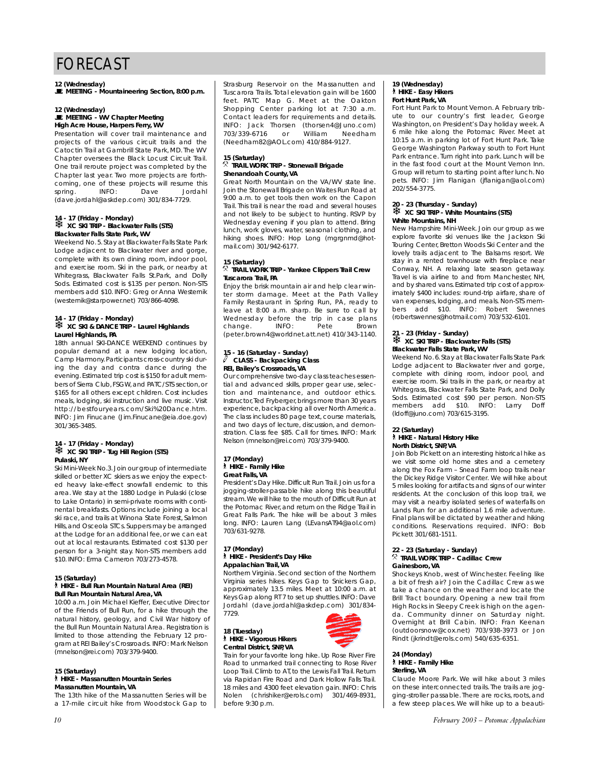#### **12 (Wednesday)**

\**MEETING - Mountaineering Section, 8:00 p.m.**

#### **12 (Wednesday)**

\**MEETING - WV Chapter Meeting High Acre House, Harpers Ferry, WV**

Presentation will cover trail maintenance and projects of the various circuit trails and the Catoctin Trail at Gambrill State Park, MD. The WV Chapter oversees the Black Locust Circuit Trail. One trail reroute project was completed by the Chapter last year. Two more projects are forthcoming, one of these projects will resume this<br>spring. INFO: Dave Jordahl spring. INFO: Dave Jordahl (dave.jordahl@askdep.com) 301/834-7729.

#### **14 - 17 (Friday - Monday)** ❄ **XC SKI TRIP - Blackwater Falls (STS) Blackwater Falls State Park, WV**

Weekend No. 5. Stay at Blackwater Falls State Park Lodge adjacent to Blackwater river and gorge, complete with its own dining room, indoor pool, and exercise room. Ski in the park, or nearby at Whitegrass, Blackwater Falls St.Park, and Dolly Sods. Estimated cost is \$135 per person. Non-STS members add \$10. INFO: Greg or Anna Westernik (westernik@starpower.net) 703/866-4098.

#### **14 - 17 (Friday - Monday)** ❄ **XC SKI & DANCE TRIP - Laurel Highlands Laurel Highlands, PA**

18th annual SKI-DANCE WEEKEND continues by popular demand at a new lodging location, Camp Harmony.Participants cross-country ski during the day and contra dance during the evening. Estimated trip cost is \$150 for adult members of Sierra Club, FSGW, and PATC/STS section, or \$165 for all others except children. Cost includes meals, lodging, ski instruction and live music. Visit http://bestfouryears.com/Ski%20Dance.htm. INFO: Jim Finucane (Jim.Finucane@eia.doe.gov) 301/365-3485.

# **14 - 17 (Friday - Monday)** ❄ **XC SKI TRIP - Tug Hill Region (STS) Pulaski, NY**

Ski Mini-Week No.3.Join our group of intermediate skilled or better XC skiers as we enjoy the expected heavy lake-effect snowfall endemic to this area. We stay at the 1880 Lodge in Pulaski (close to Lake Ontario) in semi-private rooms with continental breakfasts. Options include joining a local ski race, and trails at Winona State Forest, Salmon Hills, and Osceola STCs. Suppers may be arranged at the Lodge for an additional fee, or we can eat out at local restaurants. Estimated cost \$130 per person for a 3-night stay. Non-STS members add \$10. INFO: Erma Cameron 703/273-4578.

#### **15 (Saturday)**

#### ` **HIKE - Bull Run Mountain Natural Area (REI) Bull Run Mountain Natural Area, VA**

10:00 a.m. Join Michael Kieffer, Executive Director of the Friends of Bull Run, for a hike through the natural history, geology, and Civil War history of the Bull Run Mountain Natural Area. Registration is limited to those attending the February 12 program at REI Bailey's Crossroads. INFO: Mark Nelson (mnelson@rei.com) 703/379-9400.

#### **15 (Saturday)**

` **HIKE - Massanutten Mountain Series Massanutten Mountain, VA**

The 13th hike of the Massanutten Series will be a 17-mile circuit hike from Woodstock Gap to Strasburg Reservoir on the Massanutten and Tuscarora Trails. Total elevation gain will be 1600 feet. PATC Map G. Meet at the Oakton Shopping Center parking lot at 7:30 a.m. Contact leaders for requirements and details. INFO: Jack Thorsen (thorsen4@Juno.com)<br>703/339-6716 or William Needham 703/339-6716 (Needham82@AOL.com) 410/884-9127.

#### **15 (Saturday)** . **TRAIL WORK TRIP - Stonewall Brigade Shenandoah County, VA**

Great North Mountain on the VA/WV state line. Join the Stonewall Brigade on Waites Run Road at 9:00 a.m. to get tools then work on the Capon Trail. This trail is near the road and several houses and not likely to be subject to hunting. RSVP by Wednesday evening if you plan to attend. Bring lunch, work gloves, water, seasonal clothing, and hiking shoes. INFO: Hop Long (mgrgnmd@hotmail.com) 301/942-6177.

#### **15 (Saturday)** . **TRAIL WORK TRIP - Yankee Clippers Trail Crew Tuscarora Trail, PA**

Enjoy the brisk mountain air and help clear winter storm damage. Meet at the Path Valley Family Restaurant in Spring Run, PA, ready to leave at 8:00 a.m. sharp. Be sure to call by Wednesday before the trip in case plans change. INFO: Pete Brown (peter.brown4@worldnet.att.net) 410/343-1140.

# **15 - 16 (Saturday - Sunday)** a **CLASS - Backpacking Class REI, Bailey's Crossroads, VA**

Our comprehensive two-day class teaches essential and advanced skills, proper gear use, selection and maintenance, and outdoor ethics. Instructor, Ted Fryberger, brings more than 30 years experience, backpacking all over North America. The class includes 80 page text, course materials, and two days of lecture, discussion, and demonstration. Class fee \$85. Call for times. INFO: Mark Nelson (mnelson@rei.com) 703/379-9400.

#### **17 (Monday)**  ` **HIKE - Family Hike Great Falls, VA**

President's Day Hike. Difficult Run Trail. Join us for a jogging-stroller-passable hike along this beautiful stream.We will hike to the mouth of Difficult Run at the Potomac River, and return on the Ridge Trail in Great Falls Park. The hike will be about 3 miles long. INFO: Lauren Lang (LEvansAT94@aol.com) 703/631-9278.

#### **17 (Monday)** ` **HIKE - President's Day Hike Appalachian Trail, VA**

Northern Virginia. Second section of the Northern Virginia series hikes. Keys Gap to Snickers Gap, approximately 13.5 miles. Meet at 10:00 a.m. at Keys Gap along RT 7 to set up shuttles. INFO: Dave Jordahl (dave.jordahl@askdep.com) 301/834- 7729.

**18 (Tuesday)** ` **HIKE - Vigorous Hikers Central District, SNP, VA**



#### Train for your favorite long hike. Up Rose River Fire Road to unmarked trail connecting to Rose River Loop Trail. Climb to AT, to the Lewis Fall Trail. Return via Rapidan Fire Road and Dark Hollow Falls Trail. 18 miles and 4300 feet elevation gain. INFO: Chris Nolen (chrishiker@erols.com) 301/469-8931, before 9:30 p.m.

#### **19 (Wednesday)** ` **HIKE - Easy Hikers Fort Hunt Park, VA**

Fort Hunt Park to Mount Vernon. A February tribute to our country's first leader, George Washington, on President's Day holiday week. A 6 mile hike along the Potomac River. Meet at 10:15 a.m. in parking lot of Fort Hunt Park. Take George Washington Parkway south to Fort Hunt Park entrance. Turn right into park. Lunch will be in the fast food court at the Mount Vernon Inn. Group will return to starting point after lunch. No pets. INFO: Jim Flanigan (jflanigan@aol.com) 202/554-3775.

#### **20 - 23 (Thursday - Sunday)**  ❄ **XC SKI TRIP - White Mountains (STS) White Mountains, NH**

New Hampshire Mini-Week. Join our group as we explore favorite ski venues like the Jackson Ski Touring Center, Bretton Woods Ski Center and the lovely trails adjacent to The Balsams resort. We stay in a rented townhouse with fireplace near Conway, NH. A relaxing late season getaway. Travel is via airline to and from Manchester, NH, and by shared vans.Estimated trip cost of approximately \$400 includes: round-trip airfare, share of van expenses, lodging, and meals. Non-STS members add \$10. INFO: Robert Swennes (robertswennes@hotmail.com) 703/532-6101.

#### **21 - 23 (Friday - Sunday)**  ❄ **XC SKI TRIP - Blackwater Falls (STS) Blackwater Falls State Park, WV**

Weekend No. 6. Stay at Blackwater Falls State Park Lodge adjacent to Blackwater river and gorge, complete with dining room, indoor pool, and exercise room. Ski trails in the park, or nearby at Whitegrass, Blackwater Falls State Park, and Dolly Sods. Estimated cost \$90 per person. Non-STS members add \$10. INFO: Larry Doff (ldoff@juno.com) 703/615-3195.

# **22 (Saturday)**

#### ` **HIKE - Natural History Hike North District, SNP, VA**

Join Bob Pickett on an interesting historical hike as we visit some old home sites and a cemetery along the Fox Farm – Snead Farm loop trails near the Dickey Ridge Visitor Center. We will hike about 5 miles looking for artifacts and signs of our winter residents. At the conclusion of this loop trail, we may visit a nearby isolated series of waterfalls on Lands Run for an additional 1.6 mile adventure. Final plans will be dictated by weather and hiking conditions. Reservations required. INFO: Bob Pickett 301/681-1511.

#### **22 - 23 (Saturday - Sunday)** . **TRAIL WORK TRIP - Cadillac Crew Gainesboro, VA**

Shockeys Knob, west of Winchester. Feeling like a bit of fresh air? Join the Cadillac Crew as we take a chance on the weather and locate the Brill Tract boundary. Opening a new trail from High Rocks in Sleepy Creek is high on the agenda. Community dinner on Saturday night. Overnight at Brill Cabin. INFO: Fran Keenan (outdoorsnow@cox.net) 703/938-3973 or Jon Rindt (jkrindt@erols.com) 540/635-6351.

#### **24 (Monday)** ` **HIKE - Family Hike Sterling, VA**

Claude Moore Park. We will hike about 3 miles on these interconnected trails. The trails are jogging-stroller passable. There are rocks, roots, and a few steep places. We will hike up to a beauti-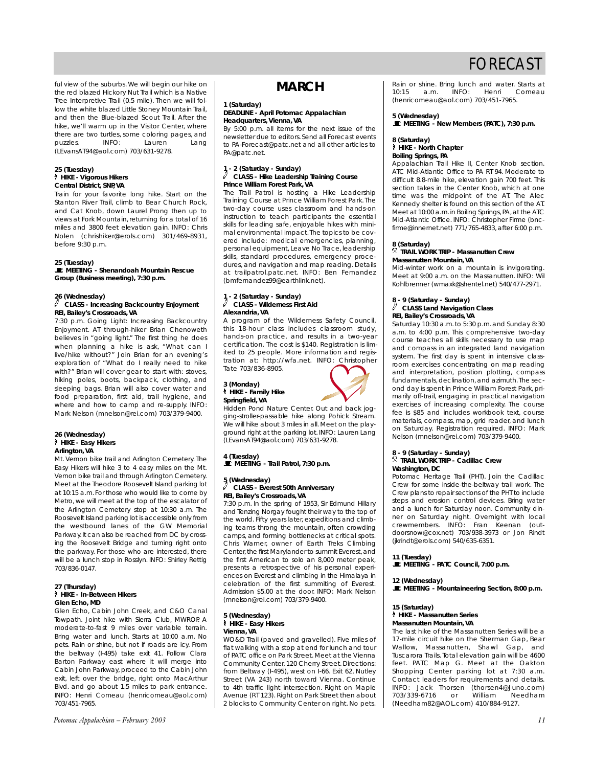ful view of the suburbs. We will begin our hike on the red blazed Hickory Nut Trail which is a Native Tree Interpretive Trail (0.5 mile). Then we will follow the white blazed Little Stoney Mountain Trail, and then the Blue-blazed Scout Trail. After the hike, we'll warm up in the Visitor Center, where there are two turtles, some coloring pages, and<br>puzzles. INFO: Lauren Lang puzzles. INFO: Lauren Lang (LEvansAT94@aol.com) 703/631-9278.

#### **25 (Tuesday)**  ` **HIKE - Vigorous Hikers Central District, SNP, VA**

Train for your favorite long hike. Start on the Stanton River Trail, climb to Bear Church Rock, and Cat Knob, down Laurel Prong then up to views at Fork Mountain, returning for a total of 16 miles and 3800 feet elevation gain. INFO: Chris Nolen (chrishiker@erols.com) 301/469-8931, before 9:30 p.m.

#### **25 (Tuesday)**

\**MEETING - Shenandoah Mountain Rescue Group (Business meeting), 7:30 p.m.**

#### **26 (Wednesday)**

#### a **CLASS - Increasing Backcountry Enjoyment REI, Bailey's Crossroads, VA**

7:30 p.m. Going Light: Increasing Backcountry Enjoyment. AT through-hiker Brian Chenoweth believes in "going light." The first thing he does when planning a hike is ask, "What can I live/hike without?" Join Brian for an evening's exploration of "What do I really need to hike with?" Brian will cover gear to start with: stoves, hiking poles, boots, backpack, clothing, and sleeping bags. Brian will also cover water and food preparation, first aid, trail hygiene, and where and how to camp and re-supply. INFO: Mark Nelson (mnelson@rei.com) 703/379-9400.

#### **26 (Wednesday)** ` **HIKE - Easy Hikers Arlington, VA**

Mt. Vernon bike trail and Arlington Cemetery. The Easy Hikers will hike 3 to 4 easy miles on the Mt. Vernon bike trail and through Arlington Cemetery. Meet at the Theodore Roosevelt Island parking lot at 10:15 a.m. For those who would like to come by Metro, we will meet at the top of the escalator of the Arlington Cemetery stop at 10:30 a.m. The Roosevelt Island parking lot is accessible only from the westbound lanes of the GW Memorial Parkway.It can also be reached from DC by crossing the Roosevelt Bridge and turning right onto the parkway. For those who are interested, there will be a lunch stop in Rosslyn. INFO: Shirley Rettig 703/836-0147.

#### **27 (Thursday)** ` **HIKE - In-Between Hikers Glen Echo, MD**

Glen Echo, Cabin John Creek, and C&O Canal Towpath. Joint hike with Sierra Club, MWROP. A moderate-to-fast 9 miles over variable terrain. Bring water and lunch. Starts at 10:00 a.m. No pets. Rain or shine, but not if roads are icy. From the beltway (I-495) take exit 41. Follow Clara Barton Parkway east where it will merge into Cabin John Parkway, proceed to the Cabin John exit, left over the bridge, right onto MacArthur Blvd. and go about 1.5 miles to park entrance. INFO: Henri Comeau (henricomeau@aol.com) 703/451-7965.

# **MARCH**

#### **1 (Saturday)**

#### **DEADLINE - April** *Potomac Appalachian* **Headquarters, Vienna, VA**

By 5:00 p.m. all items for the next issue of the newsletter due to editors. Send all Forecast events to PA-Forecast@patc.net and all other articles to PA@patc.net.

#### **1 - 2 (Saturday - Sunday)** a **CLASS - Hike Leadership Training Course Prince William Forest Park, VA**

The Trail Patrol is hosting a Hike Leadership Training Course at Prince William Forest Park. The two-day course uses classroom and hands-on instruction to teach participants the essential skills for leading safe, enjoyable hikes with minimal environmental impact.The topics to be covered include: medical emergencies, planning, personal equipment, Leave No Trace, leadership skills, standard procedures, emergency procedures, and navigation and map reading. Details at trailpatrol.patc.net. INFO: Ben Fernandez (bmfernandez99@earthlink.net).

#### **1 - 2 (Saturday - Sunday)** a **CLASS - Wilderness First Aid Alexandria, VA**

A program of the Wilderness Safety Council, this 18-hour class includes classroom study, hands-on practice, and results in a two-year certification. The cost is \$140. Registration is limited to 25 people. More information and registration at: http://wfa.net. INFO: Christopher Tate 703/836-8905.

#### **3 (Monday)** ` **HIKE - Family Hike Springfield, VA**



Hidden Pond Nature Center. Out and back jogging-stroller-passable hike along Pohick Stream. We will hike about 3 miles in all. Meet on the playground right at the parking lot. INFO: Lauren Lang (LEvansAT94@aol.com) 703/631-9278.

**4 (Tuesday)** \**MEETING - Trail Patrol, 7:30 p.m.**

# **5 (Wednesday)**

#### a **CLASS - Everest 50th Anniversary REI, Bailey's Crossroads, VA**

7:30 p.m. In the spring of 1953, Sir Edmund Hillary and Tenzing Norgay fought their way to the top of the world. Fifty years later, expeditions and climbing teams throng the mountain, often crowding camps, and forming bottlenecks at critical spots. Chris Warner, owner of Earth Treks Climbing Center, the first Marylander to summit Everest, and the first American to solo an 8,000 meter peak, presents a retrospective of his personal experiences on Everest and climbing in the Himalaya in celebration of the first summiting of Everest. Admission \$5.00 at the door. INFO: Mark Nelson (mnelson@rei.com) 703/379-9400.

#### **5 (Wednesday)** ` **HIKE - Easy Hikers Vienna, VA**

WO&D Trail (paved and gravelled). Five miles of flat walking with a stop at end for lunch and tour of PATC office on Park Street. Meet at the Vienna Community Center, 120 Cherry Street. Directions: from Beltway (I-495), west on I-66. Exit 62, Nutley Street (VA 243) north toward Vienna. Continue to 4th traffic light intersection. Right on Maple Avenue (RT 123). Right on Park Street then about 2 blocks to Community Center on right. No pets. Rain or shine. Bring lunch and water. Starts at 10:15 a.m. INFO: Henri Comeau 10:15 a.m. INFO: Henri Comeau (henricomeau@aol.com) 703/451-7965.

#### **5 (Wednesday)**

\**MEETING - New Members (PATC), 7:30 p.m.**

#### **8 (Saturday)** ` **HIKE - North Chapter Boiling Springs, PA**

Appalachian Trail Hike II, Center Knob section. ATC Mid-Atlantic Office to PA RT 94. Moderate to difficult 8.8-mile hike, elevation gain 700 feet. This section takes in the Center Knob, which at one time was the midpoint of the AT. The Alec Kennedy shelter is found on this section of the AT. Meet at 10:00 a.m. in Boiling Springs, PA, at the ATC Mid-Atlantic Office. INFO: Christopher Firme (bncfirme@innernet.net) 771/765-4833, after 6:00 p.m.

#### **8 (Saturday)**

#### . **TRAIL WORK TRIP - Massanutten Crew Massanutten Mountain, VA**

Mid-winter work on a mountain is invigorating. Meet at 9:00 a.m. on the Massanutten. INFO: Wil Kohlbrenner (wmaxk@shentel.net) 540/477-2971.

## **8 - 9 (Saturday - Sunday)** a **CLASS Land Navigation Class REI, Bailey's Crossroads, VA**

Saturday 10:30 a.m. to 5:30 p.m. and Sunday 8:30 a.m. to 4:00 p.m. This comprehensive two-day course teaches all skills necessary to use map and compass in an integrated land navigation system. The first day is spent in intensive classroom exercises concentrating on map reading and interpretation, position plotting, compass fundamentals, declination, and azimuth.The second day is spent in Prince William Forest Park, primarily off-trail, engaging in practical navigation exercises of increasing complexity. The course fee is \$85 and includes workbook text, course materials, compass, map, grid reader, and lunch on Saturday. Registration required. INFO: Mark Nelson (mnelson@rei.com) 703/379-9400.

## **8 - 9 (Saturday - Sunday)** . **TRAIL WORK TRIP - Cadillac Crew Washington, DC**

Potomac Heritage Trail (PHT). Join the Cadillac Crew for some inside-the-beltway trail work. The Crew plans to repair sections of the PHT to include steps and erosion control devices. Bring water and a lunch for Saturday noon. Community dinner on Saturday night. Overnight with local crewmembers. INFO: Fran Keenan (outdoorsnow@cox.net) 703/938-3973 or Jon Rindt (jkrindt@erols.com) 540/635-6351.

#### **11 (Tuesday)**

\**MEETING - PATC Council, 7:00 p.m.**

**12 (Wednesday)** \**MEETING - Mountaineering Section, 8:00 p.m.**

#### **15 (Saturday)**

## ` **HIKE - Massanutten Series**

#### **Massanutten Mountain, VA**

The last hike of the Massanutten Series will be a 17-mile circuit hike on the Sherman Gap, Bear Wallow, Massanutten, Shawl Gap, and Tuscarora Trails. Total elevation gain will be 4600 feet. PATC Map G. Meet at the Oakton Shopping Center parking lot at 7:30 a.m. Contact leaders for requirements and details. INFO: Jack Thorsen (thorsen4@Juno.com) 703/339-6716 or William Needham (Needham82@AOL.com) 410/884-9127.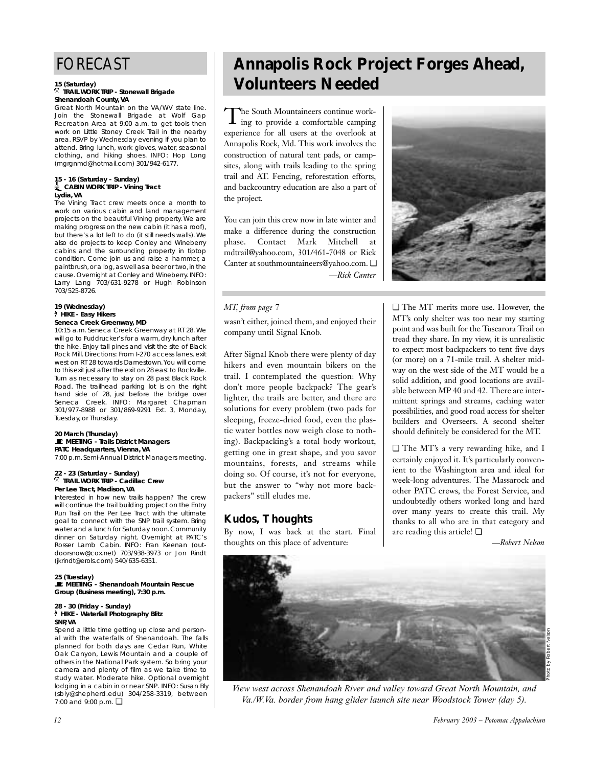#### **15 (Saturday)**

#### . **TRAIL WORK TRIP - Stonewall Brigade Shenandoah County, VA**

Great North Mountain on the VA/WV state line. Join the Stonewall Brigade at Wolf Gap Recreation Area at 9:00 a.m. to get tools then work on Little Stoney Creek Trail in the nearby area. RSVP by Wednesday evening if you plan to attend. Bring lunch, work gloves, water, seasonal clothing, and hiking shoes. INFO: Hop Long (mgrgnmd@hotmail.com) 301/942-6177.

#### **15 - 16 (Saturday - Sunday)** i**CABIN WORK TRIP - Vining Tract Lydia, VA**

The Vining Tract crew meets once a month to work on various cabin and land management projects on the beautiful Vining property. We are making progress on the new cabin (it has a roof), but there's a lot left to do (it still needs walls). We also do projects to keep Conley and Wineberry cabins and the surrounding property in tiptop condition. Come join us and raise a hammer, a paintbrush, or a log, as well as a beer or two, in the cause. Overnight at Conley and Wineberry. INFO: Larry Lang 703/631-9278 or Hugh Robinson 703/525-8726.

#### **19 (Wednesday)** ` **HIKE - Easy Hikers Seneca Creek Greenway, MD**

10:15 a.m. Seneca Creek Greenway at RT 28. We will go to Fuddrucker's for a warm, dry lunch after the hike. Enjoy tall pines and visit the site of Black Rock Mill. Directions: From I-270 access lanes, exit west on RT 28 towards Darnestown.You will come to this exit just after the exit on 28 east to Rockville. Turn as necessary to stay on 28 past Black Rock Road. The trailhead parking lot is on the right hand side of 28, just before the bridge over Seneca Creek. INFO: Margaret Chapman 301/977-8988 or 301/869-9291 Ext. 3, Monday, Tuesday, or Thursday.

#### **20 March (Thursday)** \**MEETING - Trails District Managers PATC Headquarters, Vienna, VA**

7:00 p.m. Semi-Annual District Managers meeting.

#### **22 - 23 (Saturday - Sunday)** . **TRAIL WORK TRIP - Cadillac Crew Per Lee Tract, Madison, VA**

Interested in how new trails happen? The crew will continue the trail building project on the Entry Run Trail on the Per Lee Tract with the ultimate goal to connect with the SNP trail system. Bring water and a lunch for Saturday noon. Community dinner on Saturday night. Overnight at PATC's Rosser Lamb Cabin. INFO: Fran Keenan (outdoorsnow@cox.net) 703/938-3973 or Jon Rindt (jkrindt@erols.com) 540/635-6351.

#### **25 (Tuesday)** \**MEETING - Shenandoah Mountain Rescue Group (Business meeting), 7:30 p.m.**

#### **28 - 30 (Friday - Sunday)** ` **HIKE - Waterfall Photography Blitz SNP, VA**

Spend a little time getting up close and personal with the waterfalls of Shenandoah. The falls planned for both days are Cedar Run, White Oak Canyon, Lewis Mountain and a couple of others in the National Park system. So bring your camera and plenty of film as we take time to study water. Moderate hike. Optional overnight lodging in a cabin in or near SNP. INFO: Susan Bly (sbly@shepherd.edu) 304/258-3319, between 7:00 and 9:00 p.m. ❏

# **Annapolis Rock Project Forges Ahead, Volunteers Needed**

The South Mountaineers continue work-ing to provide a comfortable camping experience for all users at the overlook at Annapolis Rock, Md. This work involves the construction of natural tent pads, or campsites, along with trails leading to the spring trail and AT. Fencing, reforestation efforts, and backcountry education are also a part of the project.

You can join this crew now in late winter and make a difference during the construction phase. Contact Mark Mitchell at mdtrail@yahoo.com, 301/461-7048 or Rick Canter at southmountaineers@yahoo.com. ❏ *—Rick Canter* 



### *MT, from page 7*

wasn't either, joined them, and enjoyed their company until Signal Knob.

After Signal Knob there were plenty of day hikers and even mountain bikers on the trail. I contemplated the question: Why don't more people backpack? The gear's lighter, the trails are better, and there are solutions for every problem (two pads for sleeping, freeze-dried food, even the plastic water bottles now weigh close to nothing). Backpacking's a total body workout, getting one in great shape, and you savor mountains, forests, and streams while doing so. Of course, it's not for everyone, but the answer to "why not more backpackers" still eludes me.

# **Kudos, Thoughts**

By now, I was back at the start. Final thoughts on this place of adventure:

❏ The MT merits more use. However, the MT's only shelter was too near my starting point and was built for the Tuscarora Trail on tread they share. In my view, it is unrealistic to expect most backpackers to tent five days (or more) on a 71-mile trail. A shelter midway on the west side of the MT would be a solid addition, and good locations are available between MP 40 and 42. There are intermittent springs and streams, caching water possibilities, and good road access for shelter builders and Overseers. A second shelter should definitely be considered for the MT.

❏ The MT's a very rewarding hike, and I certainly enjoyed it. It's particularly convenient to the Washington area and ideal for week-long adventures. The Massarock and other PATC crews, the Forest Service, and undoubtedly others worked long and hard over many years to create this trail. My thanks to all who are in that category and are reading this article! ❏

*—Robert Nelson*



*View west across Shenandoah River and valley toward Great North Mountain, and Va./W.Va. border from hang glider launch site near Woodstock Tower (day 5).*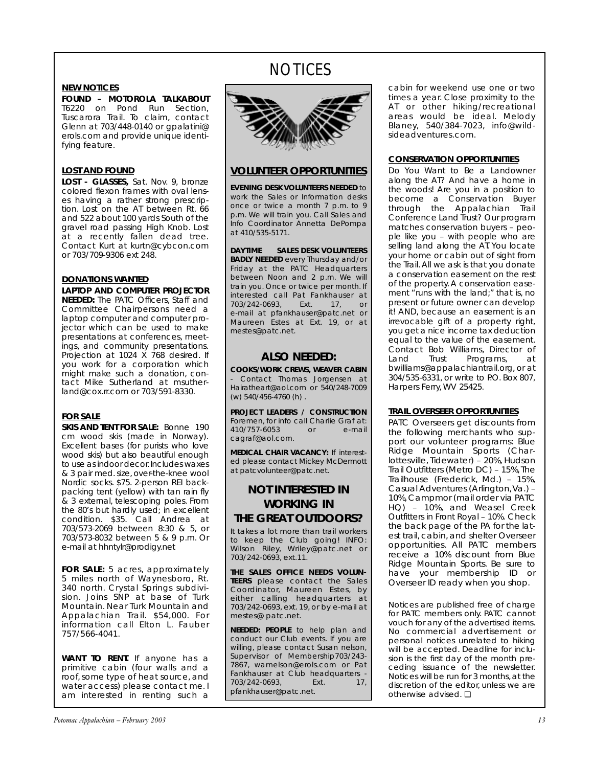# **NOTICES**

### **NEW NOTICES**

**FOUND – MOTOROLA TALKABOUT** T6220 on Pond Run Section, Tuscarora Trail. To claim, contact Glenn at 703/448-0140 or gpalatini@ erols.com and provide unique identifying feature.

### **LOST AND FOUND**

**LOST - GLASSES,** Sat. Nov. 9, bronze colored flexon frames with oval lenses having a rather strong prescription. Lost on the AT between Rt. 66 and 522 about 100 yards South of the gravel road passing High Knob. Lost at a recently fallen dead tree. Contact Kurt at kurtn@cybcon.com or 703/709-9306 ext 248.

### **DONATIONS WANTED**

**LAPTOP AND COMPUTER PROJECTOR NEEDED:** The PATC Officers, Staff and Committee Chairpersons need a laptop computer and computer projector which can be used to make presentations at conferences, meetings, and community presentations. Projection at 1024 X 768 desired. If you work for a corporation which might make such a donation, contact Mike Sutherland at msutherland@cox.rr.com or 703/591-8330.

## **FOR SALE**

**SKIS AND TENT FOR SALE:** Bonne 190 cm wood skis (made in Norway). Excellent bases (for purists who love wood skis) but also beautiful enough to use as indoor decor.Includes waxes & 3 pair med. size, over-the-knee wool Nordic socks. \$75. 2-person REI backpacking tent (yellow) with tan rain fly & 3 external, telescoping poles. From the 80's but hardly used; in excellent condition. \$35. Call Andrea at 703/573-2069 between 8:30 & 5, or 703/573-8032 between 5 & 9 p.m. Or e-mail at hhntylr@prodigy.net

**FOR SALE:** 5 acres, approximately 5 miles north of Waynesboro, Rt. 340 north. Crystal Springs subdivision. Joins SNP at base of Turk Mountain. Near Turk Mountain and Appalachian Trail. \$54,000. For information call Elton L. Fauber 757/566-4041.

**WANT TO RENT.** If anyone has a primitive cabin (four walls and a roof, some type of heat source, and water access) please contact me. I am interested in renting such a



# **VOLUNTEER OPPORTUNITIES**

**EVENING DESK VOLUNTEERS NEEDED** to work the Sales or Information desks once or twice a month 7 p.m. to 9 p.m. We will train you. Call Sales and Info Coordinator Annetta DePompa at 410/535-5171.

**DAYTIME SALES DESK VOLUNTEERS BADLY NEEDED** every Thursday and/or Friday at the PATC Headquarters between Noon and 2 p.m. We will train you. Once or twice per month. If interested call Pat Fankhauser at<br>703/242-0693, Ext. 17, or 703/242-0693, Ext. 17, or e-mail at pfankhauser@patc.net or Maureen Estes at Ext. 19, or at mestes@patc.net.

# **ALSO NEEDED:**

**COOKS/WORK CREWS, WEAVER CABIN** Contact Thomas Jorgensen at Hairatheart@aol.com or 540/248-7009 (w) 540/456-4760 (h) .

**PROJECT LEADERS / CONSTRUCTION** Foremen, for info call Charlie Graf at:<br>410/757-6053 or e-mail 410/757-6053 cagraf@aol.com.

**MEDICAL CHAIR VACANCY:** If interested please contact Mickey McDermott at patcvolunteer@patc.net.

# **NOT INTERESTED IN WORKING IN THE GREAT OUTDOORS?**

It takes a lot more than trail workers to keep the Club going! INFO: Wilson Riley, Wriley@patc.net or 703/242-0693, ext.11.

**THE SALES OFFICE NEEDS VOLUN-TEERS** please contact the Sales Coordinator, Maureen Estes, by either calling headquarters at 703/242-0693, ext. 19, or by e-mail at mestes@ patc.net.

**NEEDED: PEOPLE** to help plan and conduct our Club events. If you are willing, please contact Susan nelson. Supervisor of Membership703/243- 7867, warnelson@erols.com or Pat Fankhauser at Club headquarters -<br>703/242-0693, Ext. 17, 703/242-0693, Ext. 17, pfankhauser@patc.net.

cabin for weekend use one or two times a year. Close proximity to the AT or other hiking/recreational areas would be ideal. Melody Blaney, 540/384-7023, info@wildsideadventures.com.

### **CONSERVATION OPPORTUNITIES**

Do You Want to Be a Landowner along the AT? And have a home in the woods! Are you in a position to become a Conservation Buyer through the Appalachian Trail Conference Land Trust? Our program matches conservation buyers – people like you – with people who are selling land along the AT. You locate your home or cabin out of sight from the Trail. All we ask is that you donate a conservation easement on the rest of the property. A conservation easement "runs with the land;" that is, no present or future owner can develop it! AND, because an easement is an irrevocable gift of a property right, you get a nice income tax deduction equal to the value of the easement. Contact Bob Williams, Director of Land Trust Programs. at Programs, at bwilliams@appalachiantrail.org, or at 304/535-6331, or write to P.O. Box 807, Harpers Ferry, WV 25425.

## **TRAIL OVERSEER OPPORTUNITIES**

PATC Overseers get discounts from the following merchants who support our volunteer programs: Blue Ridge Mountain Sports (Charlottesville, Tidewater) – 20%, Hudson Trail Outfitters (Metro DC) - 15%, The Trailhouse (Frederick, Md.) – 15%, Casual Adventures (Arlington,Va.) – 10%,Campmor (mail order via PATC HQ) – 10%, and Weasel Creek Outfitters in Front Royal – 10%. Check the back page of the PA for the latest trail, cabin, and shelter Overseer opportunities. All PATC members receive a 10% discount from Blue Ridge Mountain Sports. Be sure to have your membership ID or Overseer ID ready when you shop.

Notices are published free of charge for PATC members only. PATC cannot vouch for any of the advertised items. No commercial advertisement or personal notices unrelated to hiking .<br>will be accepted. Deadline for inclusion is the first day of the month preceding issuance of the newsletter. Notices will be run for 3 months, at the discretion of the editor, unless we are otherwise advised. ❏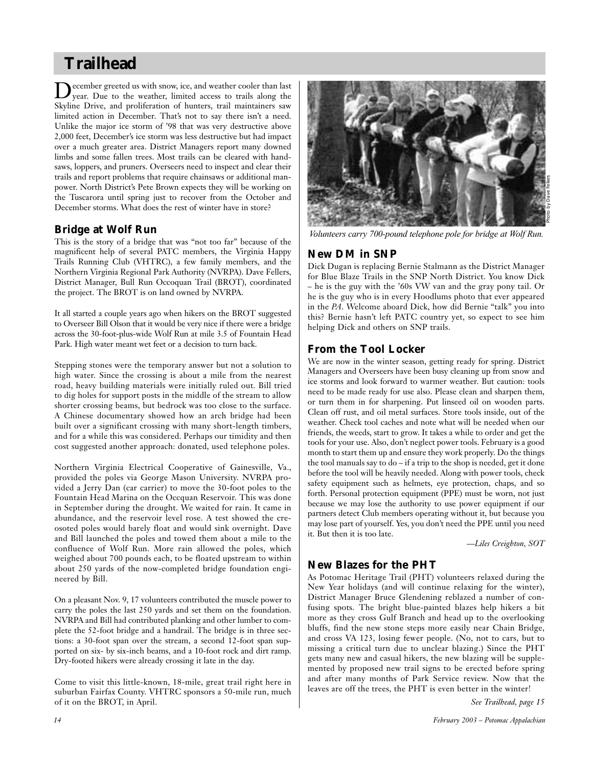# **Trailhead**

December greeted us with snow, ice, and weather cooler than last year. Due to the weather, limited access to trails along the Skyline Drive, and proliferation of hunters, trail maintainers saw limited action in December. That's not to say there isn't a need. Unlike the major ice storm of '98 that was very destructive above 2,000 feet, December's ice storm was less destructive but had impact over a much greater area. District Managers report many downed limbs and some fallen trees. Most trails can be cleared with handsaws, loppers, and pruners. Overseers need to inspect and clear their trails and report problems that require chainsaws or additional manpower. North District's Pete Brown expects they will be working on the Tuscarora until spring just to recover from the October and December storms. What does the rest of winter have in store?

# **Bridge at Wolf Run**

This is the story of a bridge that was "not too far" because of the magnificent help of several PATC members, the Virginia Happy Trails Running Club (VHTRC), a few family members, and the Northern Virginia Regional Park Authority (NVRPA). Dave Fellers, District Manager, Bull Run Occoquan Trail (BROT), coordinated the project. The BROT is on land owned by NVRPA.

It all started a couple years ago when hikers on the BROT suggested to Overseer Bill Olson that it would be very nice if there were a bridge across the 30-foot-plus-wide Wolf Run at mile 3.5 of Fountain Head Park. High water meant wet feet or a decision to turn back.

Stepping stones were the temporary answer but not a solution to high water. Since the crossing is about a mile from the nearest road, heavy building materials were initially ruled out. Bill tried to dig holes for support posts in the middle of the stream to allow shorter crossing beams, but bedrock was too close to the surface. A Chinese documentary showed how an arch bridge had been built over a significant crossing with many short-length timbers, and for a while this was considered. Perhaps our timidity and then cost suggested another approach: donated, used telephone poles.

Northern Virginia Electrical Cooperative of Gainesville, Va., provided the poles via George Mason University. NVRPA provided a Jerry Dan (car carrier) to move the 30-foot poles to the Fountain Head Marina on the Occquan Reservoir. This was done in September during the drought. We waited for rain. It came in abundance, and the reservoir level rose. A test showed the creosoted poles would barely float and would sink overnight. Dave and Bill launched the poles and towed them about a mile to the confluence of Wolf Run. More rain allowed the poles, which weighed about 700 pounds each, to be floated upstream to within about 250 yards of the now-completed bridge foundation engineered by Bill.

On a pleasant Nov. 9, 17 volunteers contributed the muscle power to carry the poles the last 250 yards and set them on the foundation. NVRPA and Bill had contributed planking and other lumber to complete the 52-foot bridge and a handrail. The bridge is in three sections: a 30-foot span over the stream, a second 12-foot span supported on six- by six-inch beams, and a 10-foot rock and dirt ramp. Dry-footed hikers were already crossing it late in the day.

Come to visit this little-known, 18-mile, great trail right here in suburban Fairfax County. VHTRC sponsors a 50-mile run, much of it on the BROT, in April.



*Volunteers carry 700-pound telephone pole for bridge at Wolf Run.*

# **New DM in SNP**

Dick Dugan is replacing Bernie Stalmann as the District Manager for Blue Blaze Trails in the SNP North District. You know Dick – he is the guy with the '60s VW van and the gray pony tail. Or he is the guy who is in every Hoodlums photo that ever appeared in the *PA*. Welcome aboard Dick, how did Bernie "talk" you into this? Bernie hasn't left PATC country yet, so expect to see him helping Dick and others on SNP trails.

# **From the Tool Locker**

We are now in the winter season, getting ready for spring. District Managers and Overseers have been busy cleaning up from snow and ice storms and look forward to warmer weather. But caution: tools need to be made ready for use also. Please clean and sharpen them, or turn them in for sharpening. Put linseed oil on wooden parts. Clean off rust, and oil metal surfaces. Store tools inside, out of the weather. Check tool caches and note what will be needed when our friends, the weeds, start to grow. It takes a while to order and get the tools for your use. Also, don't neglect power tools. February is a good month to start them up and ensure they work properly. Do the things the tool manuals say to do – if a trip to the shop is needed, get it done before the tool will be heavily needed. Along with power tools, check safety equipment such as helmets, eye protection, chaps, and so forth. Personal protection equipment (PPE) must be worn, not just because we may lose the authority to use power equipment if our partners detect Club members operating without it, but because you may lose part of yourself. Yes, you don't need the PPE until you need it. But then it is too late.

*—Liles Creighton, SOT*

# **New Blazes for the PHT**

As Potomac Heritage Trail (PHT) volunteers relaxed during the New Year holidays (and will continue relaxing for the winter), District Manager Bruce Glendening reblazed a number of confusing spots. The bright blue-painted blazes help hikers a bit more as they cross Gulf Branch and head up to the overlooking bluffs, find the new stone steps more easily near Chain Bridge, and cross VA 123, losing fewer people. (No, not to cars, but to missing a critical turn due to unclear blazing.) Since the PHT gets many new and casual hikers, the new blazing will be supplemented by proposed new trail signs to be erected before spring and after many months of Park Service review. Now that the leaves are off the trees, the PHT is even better in the winter!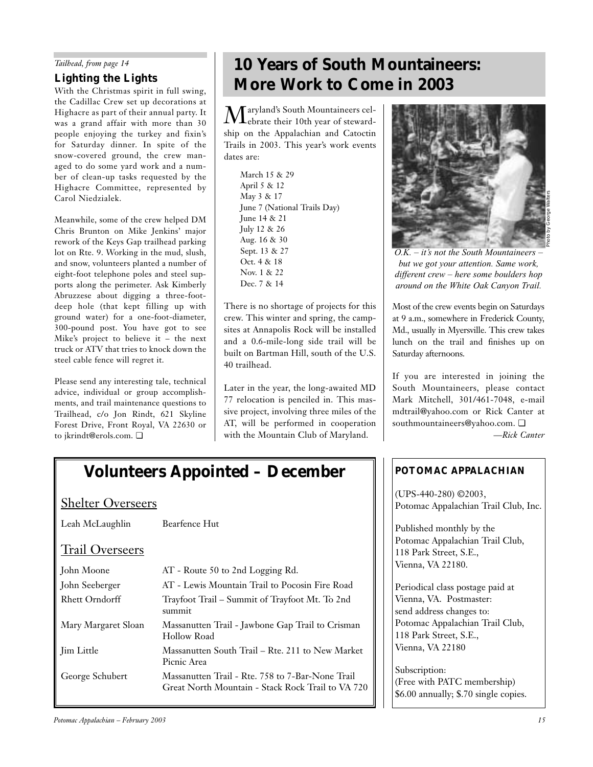### *Tailhead, from page 14*

# **Lighting the Lights**

With the Christmas spirit in full swing, the Cadillac Crew set up decorations at Highacre as part of their annual party. It was a grand affair with more than 30 people enjoying the turkey and fixin's for Saturday dinner. In spite of the snow-covered ground, the crew managed to do some yard work and a number of clean-up tasks requested by the Highacre Committee, represented by Carol Niedzialek.

Meanwhile, some of the crew helped DM Chris Brunton on Mike Jenkins' major rework of the Keys Gap trailhead parking lot on Rte. 9. Working in the mud, slush, and snow, volunteers planted a number of eight-foot telephone poles and steel supports along the perimeter. Ask Kimberly Abruzzese about digging a three-footdeep hole (that kept filling up with ground water) for a one-foot-diameter, 300-pound post. You have got to see Mike's project to believe it – the next truck or ATV that tries to knock down the steel cable fence will regret it.

Please send any interesting tale, technical advice, individual or group accomplishments, and trail maintenance questions to Trailhead, c/o Jon Rindt, 621 Skyline Forest Drive, Front Royal, VA 22630 or to jkrindt@erols.com. ❏

# **10 Years of South Mountaineers: More Work to Come in 2003**

 $\displaystyle{\mathop{M}}$ aryland's South Mountaineers cel-<br>ebrate their 10th year of stewardship on the Appalachian and Catoctin Trails in 2003. This year's work events dates are:

March 15 & 29 April 5 & 12 May 3 & 17 June 7 (National Trails Day) June 14 & 21 July 12 & 26 Aug. 16 & 30 Sept. 13 & 27 Oct. 4 & 18 Nov. 1 & 22 Dec. 7 & 14

There is no shortage of projects for this crew. This winter and spring, the campsites at Annapolis Rock will be installed and a 0.6-mile-long side trail will be built on Bartman Hill, south of the U.S. 40 trailhead.

Later in the year, the long-awaited MD 77 relocation is penciled in. This massive project, involving three miles of the AT, will be performed in cooperation with the Mountain Club of Maryland.



*O.K. – it's not the South Mountaineers – but we got your attention. Same work, different crew – here some boulders hop around on the White Oak Canyon Trail.*

Most of the crew events begin on Saturdays at 9 a.m., somewhere in Frederick County, Md., usually in Myersville. This crew takes lunch on the trail and finishes up on Saturday afternoons.

If you are interested in joining the South Mountaineers, please contact Mark Mitchell, 301/461-7048, e-mail mdtrail@yahoo.com or Rick Canter at southmountaineers@yahoo.com. ❏ *—Rick Canter*

# *POTOMAC APPALACHIAN*

(UPS-440-280) ©2003, Potomac Appalachian Trail Club, Inc.

Published monthly by the Potomac Appalachian Trail Club, 118 Park Street, S.E., Vienna, VA 22180.

Periodical class postage paid at Vienna, VA. Postmaster: send address changes to: Potomac Appalachian Trail Club, 118 Park Street, S.E., Vienna, VA 22180

Subscription: (Free with PATC membership) \$6.00 annually; \$.70 single copies.

# **Volunteers Appointed – December**

# Shelter Overseers

Leah McLaughlin Bearfence Hut

# Trail Overseers

| John Moone            | AT - Route 50 to 2nd Logging Rd.                                                                      |
|-----------------------|-------------------------------------------------------------------------------------------------------|
| John Seeberger        | AT - Lewis Mountain Trail to Pocosin Fire Road                                                        |
| <b>Rhett Orndorff</b> | Trayfoot Trail – Summit of Trayfoot Mt. To 2nd<br>summit                                              |
| Mary Margaret Sloan   | Massanutten Trail - Jawbone Gap Trail to Crisman<br>Hollow Road                                       |
| <b>Jim Little</b>     | Massanutten South Trail – Rte. 211 to New Market<br>Picnic Area                                       |
| George Schubert       | Massanutten Trail - Rte. 758 to 7-Bar-None Trail<br>Great North Mountain - Stack Rock Trail to VA 720 |